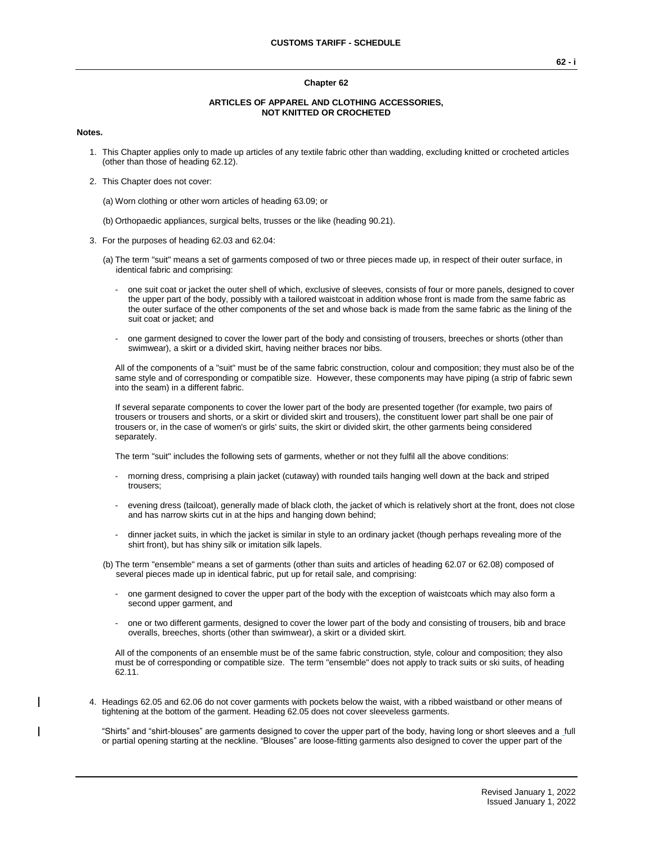#### **Chapter 62**

#### **ARTICLES OF APPAREL AND CLOTHING ACCESSORIES, NOT KNITTED OR CROCHETED**

#### **Notes.**

- 1. This Chapter applies only to made up articles of any textile fabric other than wadding, excluding knitted or crocheted articles (other than those of heading 62.12).
- 2. This Chapter does not cover:

(a) Worn clothing or other worn articles of heading 63.09; or

- (b) Orthopaedic appliances, surgical belts, trusses or the like (heading 90.21).
- 3. For the purposes of heading 62.03 and 62.04:
	- (a) The term "suit" means a set of garments composed of two or three pieces made up, in respect of their outer surface, in identical fabric and comprising:
		- one suit coat or jacket the outer shell of which, exclusive of sleeves, consists of four or more panels, designed to cover the upper part of the body, possibly with a tailored waistcoat in addition whose front is made from the same fabric as the outer surface of the other components of the set and whose back is made from the same fabric as the lining of the suit coat or jacket; and
		- one garment designed to cover the lower part of the body and consisting of trousers, breeches or shorts (other than swimwear), a skirt or a divided skirt, having neither braces nor bibs.

All of the components of a "suit" must be of the same fabric construction, colour and composition; they must also be of the same style and of corresponding or compatible size. However, these components may have piping (a strip of fabric sewn into the seam) in a different fabric.

If several separate components to cover the lower part of the body are presented together (for example, two pairs of trousers or trousers and shorts, or a skirt or divided skirt and trousers), the constituent lower part shall be one pair of trousers or, in the case of women's or girls' suits, the skirt or divided skirt, the other garments being considered separately.

The term "suit" includes the following sets of garments, whether or not they fulfil all the above conditions:

- morning dress, comprising a plain jacket (cutaway) with rounded tails hanging well down at the back and striped trousers;
- evening dress (tailcoat), generally made of black cloth, the jacket of which is relatively short at the front, does not close and has narrow skirts cut in at the hips and hanging down behind;
- dinner jacket suits, in which the jacket is similar in style to an ordinary jacket (though perhaps revealing more of the shirt front), but has shiny silk or imitation silk lapels.

(b) The term "ensemble" means a set of garments (other than suits and articles of heading 62.07 or 62.08) composed of several pieces made up in identical fabric, put up for retail sale, and comprising:

- one garment designed to cover the upper part of the body with the exception of waistcoats which may also form a second upper garment, and
- one or two different garments, designed to cover the lower part of the body and consisting of trousers, bib and brace overalls, breeches, shorts (other than swimwear), a skirt or a divided skirt.

All of the components of an ensemble must be of the same fabric construction, style, colour and composition; they also must be of corresponding or compatible size. The term "ensemble" does not apply to track suits or ski suits, of heading 62.11.

4. Headings 62.05 and 62.06 do not cover garments with pockets below the waist, with a ribbed waistband or other means of tightening at the bottom of the garment. Heading 62.05 does not cover sleeveless garments.

"Shirts" and "shirt-blouses" are garments designed to cover the upper part of the body, having long or short sleeves and a full or partial opening starting at the neckline. "Blouses" are loose-fitting garments also designed to cover the upper part of the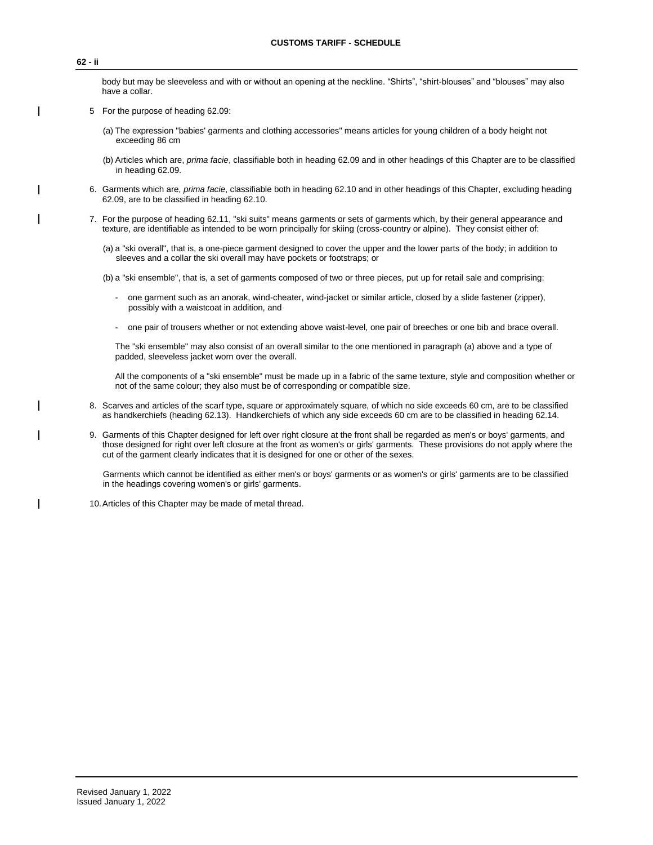#### **62 - ii**

body but may be sleeveless and with or without an opening at the neckline. "Shirts", "shirt-blouses" and "blouses" may also have a collar.

- 5 For the purpose of heading 62.09:
	- (a) The expression "babies' garments and clothing accessories" means articles for young children of a body height not exceeding 86 cm
	- (b) Articles which are, *prima facie*, classifiable both in heading 62.09 and in other headings of this Chapter are to be classified in heading 62.09.
- 6. Garments which are, *prima facie*, classifiable both in heading 62.10 and in other headings of this Chapter, excluding heading 62.09, are to be classified in heading 62.10.
- 7. For the purpose of heading 62.11, "ski suits" means garments or sets of garments which, by their general appearance and texture, are identifiable as intended to be worn principally for skiing (cross-country or alpine). They consist either of:
	- (a) a "ski overall", that is, a one-piece garment designed to cover the upper and the lower parts of the body; in addition to sleeves and a collar the ski overall may have pockets or footstraps; or
	- (b) a "ski ensemble", that is, a set of garments composed of two or three pieces, put up for retail sale and comprising:
		- one garment such as an anorak, wind-cheater, wind-jacket or similar article, closed by a slide fastener (zipper), possibly with a waistcoat in addition, and
		- one pair of trousers whether or not extending above waist-level, one pair of breeches or one bib and brace overall.

The "ski ensemble" may also consist of an overall similar to the one mentioned in paragraph (a) above and a type of padded, sleeveless jacket worn over the overall.

All the components of a "ski ensemble" must be made up in a fabric of the same texture, style and composition whether or not of the same colour; they also must be of corresponding or compatible size.

- 8. Scarves and articles of the scarf type, square or approximately square, of which no side exceeds 60 cm, are to be classified as handkerchiefs (heading 62.13). Handkerchiefs of which any side exceeds 60 cm are to be classified in heading 62.14.
- 9. Garments of this Chapter designed for left over right closure at the front shall be regarded as men's or boys' garments, and those designed for right over left closure at the front as women's or girls' garments. These provisions do not apply where the cut of the garment clearly indicates that it is designed for one or other of the sexes.

Garments which cannot be identified as either men's or boys' garments or as women's or girls' garments are to be classified in the headings covering women's or girls' garments.

10.Articles of this Chapter may be made of metal thread.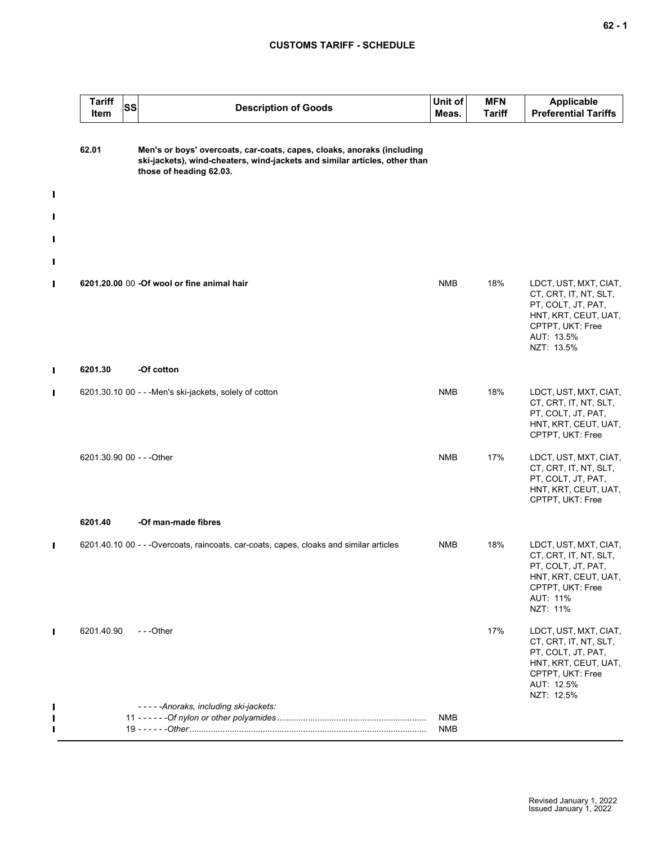| <b>Tariff</b><br>SS<br>Item | <b>Description of Goods</b>                                                                                                                                                     | Unit of<br>Meas. | <b>MFN</b><br><b>Tariff</b> | <b>Applicable</b><br><b>Preferential Tariffs</b>                                                                                             |
|-----------------------------|---------------------------------------------------------------------------------------------------------------------------------------------------------------------------------|------------------|-----------------------------|----------------------------------------------------------------------------------------------------------------------------------------------|
| 62.01                       | Men's or boys' overcoats, car-coats, capes, cloaks, anoraks (including<br>ski-jackets), wind-cheaters, wind-jackets and similar articles, other than<br>those of heading 62.03. |                  |                             |                                                                                                                                              |
|                             |                                                                                                                                                                                 |                  |                             |                                                                                                                                              |
|                             | 6201.20.00 00 -Of wool or fine animal hair                                                                                                                                      | <b>NMB</b>       | 18%                         | LDCT, UST, MXT, CIAT,<br>CT, CRT, IT, NT, SLT,<br>PT, COLT, JT, PAT,<br>HNT, KRT, CEUT, UAT,<br>CPTPT, UKT: Free<br>AUT: 13.5%<br>NZT: 13.5% |
| 6201.30                     | -Of cotton                                                                                                                                                                      |                  |                             |                                                                                                                                              |
|                             | 6201.30.10 00 - - - Men's ski-jackets, solely of cotton                                                                                                                         | <b>NMB</b>       | 18%                         | LDCT, UST, MXT, CIAT,<br>CT, CRT, IT, NT, SLT,<br>PT, COLT, JT, PAT,<br>HNT, KRT, CEUT, UAT,<br>CPTPT, UKT: Free                             |
| 6201.30.90 00 - - - Other   |                                                                                                                                                                                 | <b>NMB</b>       | 17%                         | LDCT, UST, MXT, CIAT,<br>CT, CRT, IT, NT, SLT,<br>PT, COLT, JT, PAT,<br>HNT, KRT, CEUT, UAT,<br>CPTPT, UKT: Free                             |
| 6201.40                     | -Of man-made fibres                                                                                                                                                             |                  |                             |                                                                                                                                              |
|                             | 6201.40.10 00 - - - Overcoats, raincoats, car-coats, capes, cloaks and similar articles                                                                                         | <b>NMB</b>       | 18%                         | LDCT, UST, MXT, CIAT,<br>CT, CRT, IT, NT, SLT,<br>PT, COLT, JT, PAT,<br>HNT, KRT, CEUT, UAT,<br>CPTPT, UKT: Free<br>AUT: 11%<br>NZT: 11%     |
| 6201.40.90                  | $- -$ Other                                                                                                                                                                     |                  | 17%                         | LDCT, UST, MXT, CIAT,<br>CT, CRT, IT, NT, SLT,<br>PT, COLT, JT, PAT,<br>HNT, KRT, CEUT, UAT,<br>CPTPT, UKT: Free<br>AUT: 12.5%<br>NZT: 12.5% |
|                             | -----Anoraks, including ski-jackets:                                                                                                                                            | NMB              |                             |                                                                                                                                              |
|                             |                                                                                                                                                                                 | NMB              |                             |                                                                                                                                              |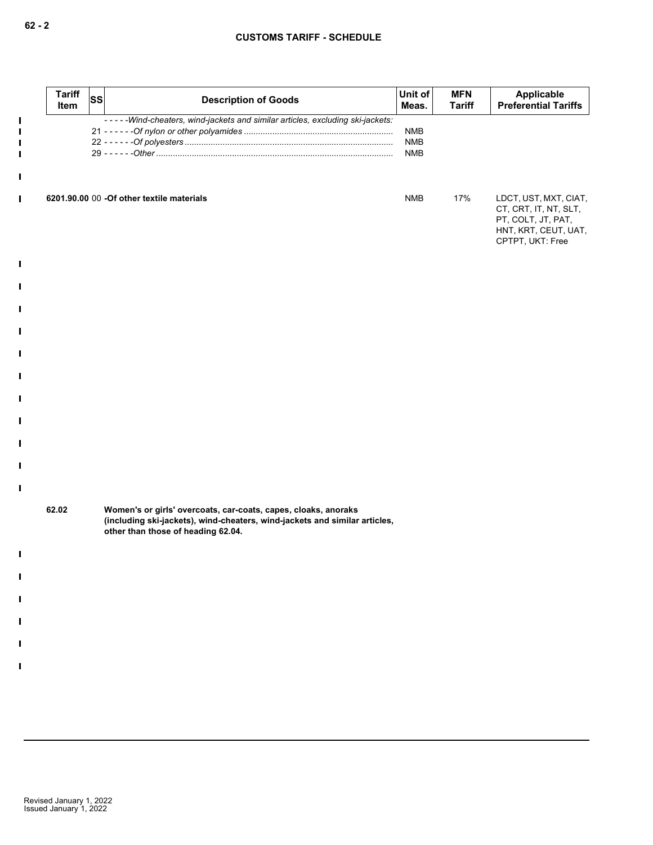| <b>Tariff</b><br>Item | <b>SS</b> | <b>Description of Goods</b>                                                                                                                                                        | Unit of<br>Meas.                       | <b>MFN</b><br><b>Tariff</b> | Applicable<br><b>Preferential Tariffs</b>                                                                        |
|-----------------------|-----------|------------------------------------------------------------------------------------------------------------------------------------------------------------------------------------|----------------------------------------|-----------------------------|------------------------------------------------------------------------------------------------------------------|
|                       |           | -----Wind-cheaters, wind-jackets and similar articles, excluding ski-jackets:                                                                                                      | <b>NMB</b><br><b>NMB</b><br><b>NMB</b> |                             |                                                                                                                  |
|                       |           | 6201.90.00 00 -Of other textile materials                                                                                                                                          | <b>NMB</b>                             | 17%                         | LDCT, UST, MXT, CIAT,<br>CT, CRT, IT, NT, SLT,<br>PT, COLT, JT, PAT,<br>HNT, KRT, CEUT, UAT,<br>CPTPT, UKT: Free |
|                       |           |                                                                                                                                                                                    |                                        |                             |                                                                                                                  |
|                       |           |                                                                                                                                                                                    |                                        |                             |                                                                                                                  |
|                       |           |                                                                                                                                                                                    |                                        |                             |                                                                                                                  |
|                       |           |                                                                                                                                                                                    |                                        |                             |                                                                                                                  |
|                       |           |                                                                                                                                                                                    |                                        |                             |                                                                                                                  |
|                       |           |                                                                                                                                                                                    |                                        |                             |                                                                                                                  |
|                       |           |                                                                                                                                                                                    |                                        |                             |                                                                                                                  |
|                       |           |                                                                                                                                                                                    |                                        |                             |                                                                                                                  |
|                       |           |                                                                                                                                                                                    |                                        |                             |                                                                                                                  |
| 62.02                 |           | Women's or girls' overcoats, car-coats, capes, cloaks, anoraks<br>(including ski-jackets), wind-cheaters, wind-jackets and similar articles,<br>other than those of heading 62.04. |                                        |                             |                                                                                                                  |
|                       |           |                                                                                                                                                                                    |                                        |                             |                                                                                                                  |
|                       |           |                                                                                                                                                                                    |                                        |                             |                                                                                                                  |
|                       |           |                                                                                                                                                                                    |                                        |                             |                                                                                                                  |
|                       |           |                                                                                                                                                                                    |                                        |                             |                                                                                                                  |
|                       |           |                                                                                                                                                                                    |                                        |                             |                                                                                                                  |
|                       |           |                                                                                                                                                                                    |                                        |                             |                                                                                                                  |
|                       |           |                                                                                                                                                                                    |                                        |                             |                                                                                                                  |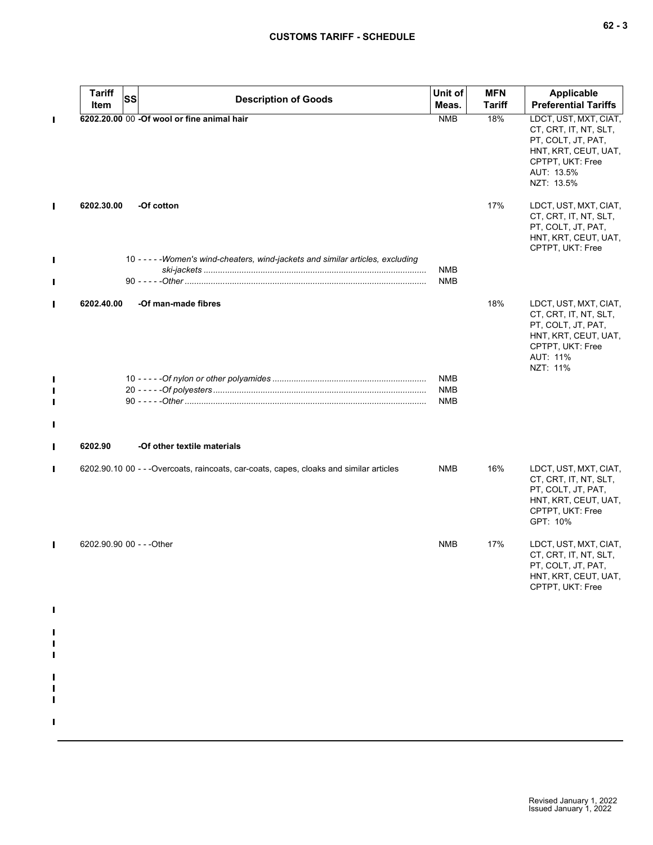|        | <b>Tariff</b><br>Item     | SS | <b>Description of Goods</b>                                                             | Unit of<br>Meas.                | <b>MFN</b><br>Tariff | <b>Applicable</b><br><b>Preferential Tariffs</b>                                                                                             |
|--------|---------------------------|----|-----------------------------------------------------------------------------------------|---------------------------------|----------------------|----------------------------------------------------------------------------------------------------------------------------------------------|
| П      |                           |    | 6202.20.00 00 -Of wool or fine animal hair                                              | <b>NMB</b>                      | 18%                  | LDCT, UST, MXT, CIAT,<br>CT, CRT, IT, NT, SLT,<br>PT, COLT, JT, PAT,<br>HNT, KRT, CEUT, UAT,<br>CPTPT, UKT: Free<br>AUT: 13.5%<br>NZT: 13.5% |
| П      | 6202.30.00                |    | -Of cotton                                                                              |                                 | 17%                  | LDCT, UST, MXT, CIAT,<br>CT, CRT, IT, NT, SLT,<br>PT, COLT, JT, PAT,<br>HNT, KRT, CEUT, UAT,<br>CPTPT, UKT: Free                             |
| I      |                           |    | 10 - - - - - Women's wind-cheaters, wind-jackets and similar articles, excluding        | NMB<br><b>NMB</b>               |                      |                                                                                                                                              |
| Ш      | 6202.40.00                |    | -Of man-made fibres                                                                     |                                 | 18%                  | LDCT, UST, MXT, CIAT,<br>CT, CRT, IT, NT, SLT,<br>PT, COLT, JT, PAT,<br>HNT, KRT, CEUT, UAT,<br>CPTPT, UKT: Free<br>AUT: 11%<br>NZT: 11%     |
| П<br>П |                           |    |                                                                                         | NMB<br><b>NMB</b><br><b>NMB</b> |                      |                                                                                                                                              |
| Ш      | 6202.90                   |    | -Of other textile materials                                                             |                                 |                      |                                                                                                                                              |
| Ш      |                           |    | 6202.90.10 00 - - - Overcoats, raincoats, car-coats, capes, cloaks and similar articles | <b>NMB</b>                      | 16%                  | LDCT, UST, MXT, CIAT,<br>CT, CRT, IT, NT, SLT,<br>PT, COLT, JT, PAT,<br>HNT, KRT, CEUT, UAT,<br>CPTPT, UKT: Free<br>GPT: 10%                 |
| П      | 6202.90.90 00 - - - Other |    |                                                                                         | <b>NMB</b>                      | 17%                  | LDCT, UST, MXT, CIAT,<br>CT, CRT, IT, NT, SLT,<br>PT, COLT, JT, PAT,<br>HNT, KRT, CEUT, UAT,<br>CPTPT, UKT: Free                             |
|        |                           |    |                                                                                         |                                 |                      |                                                                                                                                              |
|        |                           |    |                                                                                         |                                 |                      |                                                                                                                                              |
|        |                           |    |                                                                                         |                                 |                      |                                                                                                                                              |

 $\mathbf{I}$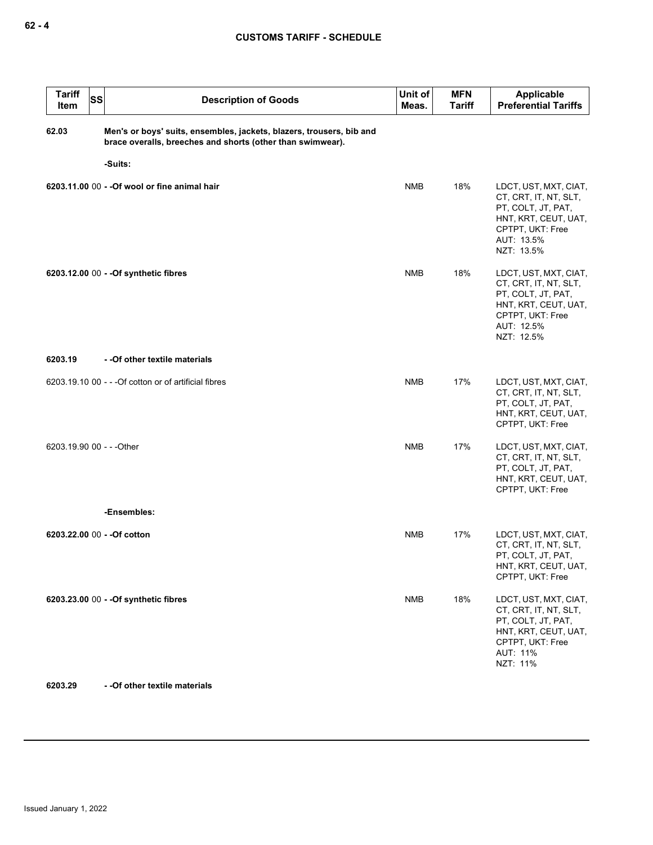| <b>Tariff</b><br>Item     | SS | <b>Description of Goods</b>                                                                                                        | Unit of<br>Meas. | <b>MFN</b><br>Tariff | <b>Applicable</b><br><b>Preferential Tariffs</b>                                                                                             |
|---------------------------|----|------------------------------------------------------------------------------------------------------------------------------------|------------------|----------------------|----------------------------------------------------------------------------------------------------------------------------------------------|
| 62.03                     |    | Men's or boys' suits, ensembles, jackets, blazers, trousers, bib and<br>brace overalls, breeches and shorts (other than swimwear). |                  |                      |                                                                                                                                              |
|                           |    | -Suits:                                                                                                                            |                  |                      |                                                                                                                                              |
|                           |    | 6203.11.00 00 - - Of wool or fine animal hair                                                                                      | <b>NMB</b>       | 18%                  | LDCT, UST, MXT, CIAT,<br>CT, CRT, IT, NT, SLT,<br>PT, COLT, JT, PAT,<br>HNT, KRT, CEUT, UAT,<br>CPTPT, UKT: Free<br>AUT: 13.5%<br>NZT: 13.5% |
|                           |    | 6203.12.00 00 - - Of synthetic fibres                                                                                              | <b>NMB</b>       | 18%                  | LDCT, UST, MXT, CIAT,<br>CT, CRT, IT, NT, SLT,<br>PT, COLT, JT, PAT,<br>HNT, KRT, CEUT, UAT,<br>CPTPT, UKT: Free<br>AUT: 12.5%<br>NZT: 12.5% |
| 6203.19                   |    | - - Of other textile materials                                                                                                     |                  |                      |                                                                                                                                              |
|                           |    | 6203.19.10 00 - - - Of cotton or of artificial fibres                                                                              | <b>NMB</b>       | 17%                  | LDCT, UST, MXT, CIAT,<br>CT, CRT, IT, NT, SLT,<br>PT, COLT, JT, PAT,<br>HNT, KRT, CEUT, UAT,<br>CPTPT, UKT: Free                             |
| 6203.19.90 00 - - - Other |    |                                                                                                                                    | <b>NMB</b>       | 17%                  | LDCT, UST, MXT, CIAT,<br>CT, CRT, IT, NT, SLT,<br>PT, COLT, JT, PAT,<br>HNT, KRT, CEUT, UAT,<br>CPTPT, UKT: Free                             |
|                           |    | -Ensembles:                                                                                                                        |                  |                      |                                                                                                                                              |
|                           |    | 6203.22.00 00 - - Of cotton                                                                                                        | <b>NMB</b>       | 17%                  | LDCT, UST, MXT, CIAT,<br>CT, CRT, IT, NT, SLT,<br>PT, COLT, JT, PAT,<br>HNT, KRT, CEUT, UAT,<br>CPTPT, UKT: Free                             |
|                           |    | 6203.23.00 00 - - Of synthetic fibres                                                                                              | <b>NMB</b>       | 18%                  | LDCT, UST, MXT, CIAT,<br>CT, CRT, IT, NT, SLT,<br>PT, COLT, JT, PAT,<br>HNT, KRT, CEUT, UAT,<br>CPTPT, UKT: Free<br>AUT: 11%<br>NZT: 11%     |
| 6203.29                   |    | - - Of other textile materials                                                                                                     |                  |                      |                                                                                                                                              |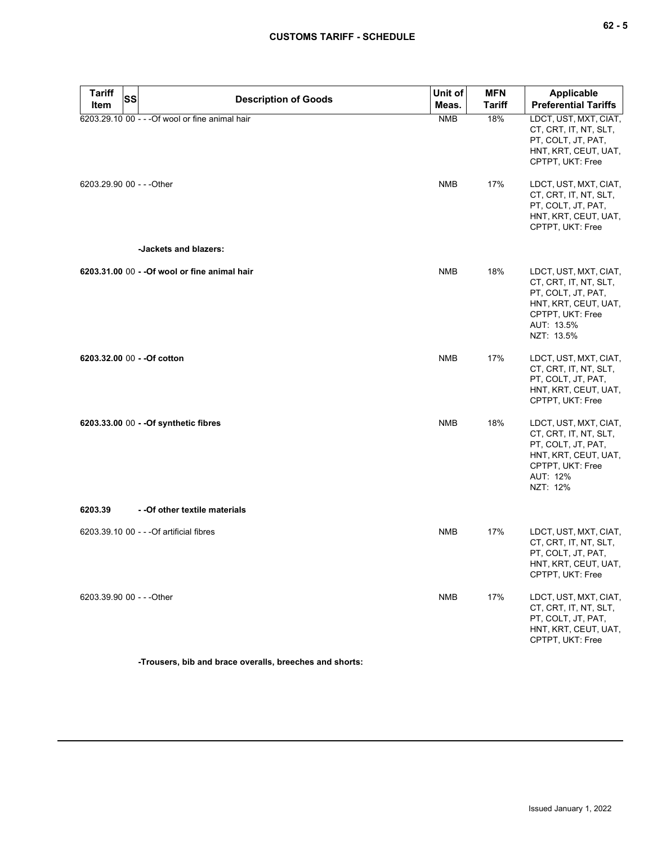| $\sim$ |  | ×<br>۰. |
|--------|--|---------|
|--------|--|---------|

| <b>Tariff</b><br>Item     | SS | <b>Description of Goods</b>                     | Unit of<br>Meas. | <b>MFN</b><br><b>Tariff</b> | Applicable<br><b>Preferential Tariffs</b>                                                                                                    |
|---------------------------|----|-------------------------------------------------|------------------|-----------------------------|----------------------------------------------------------------------------------------------------------------------------------------------|
|                           |    | 6203.29.10 00 - - - Of wool or fine animal hair | <b>NMB</b>       | 18%                         | LDCT, UST, MXT, CIAT,<br>CT, CRT, IT, NT, SLT,<br>PT, COLT, JT, PAT,<br>HNT, KRT, CEUT, UAT,<br>CPTPT, UKT: Free                             |
| 6203.29.90 00 - - - Other |    |                                                 | <b>NMB</b>       | 17%                         | LDCT, UST, MXT, CIAT,<br>CT, CRT, IT, NT, SLT,<br>PT, COLT, JT, PAT,<br>HNT, KRT, CEUT, UAT,<br>CPTPT, UKT: Free                             |
|                           |    | -Jackets and blazers:                           |                  |                             |                                                                                                                                              |
|                           |    | 6203.31.00 00 - - Of wool or fine animal hair   | <b>NMB</b>       | 18%                         | LDCT, UST, MXT, CIAT,<br>CT, CRT, IT, NT, SLT,<br>PT, COLT, JT, PAT,<br>HNT, KRT, CEUT, UAT,<br>CPTPT, UKT: Free<br>AUT: 13.5%<br>NZT: 13.5% |
|                           |    | 6203.32.00 00 - - Of cotton                     | <b>NMB</b>       | 17%                         | LDCT, UST, MXT, CIAT,<br>CT, CRT, IT, NT, SLT,<br>PT, COLT, JT, PAT,<br>HNT, KRT, CEUT, UAT,<br>CPTPT, UKT: Free                             |
|                           |    | 6203.33.00 00 - - Of synthetic fibres           | <b>NMB</b>       | 18%                         | LDCT, UST, MXT, CIAT,<br>CT, CRT, IT, NT, SLT,<br>PT, COLT, JT, PAT,<br>HNT, KRT, CEUT, UAT,<br>CPTPT, UKT: Free<br>AUT: 12%<br>NZT: 12%     |
| 6203.39                   |    | - - Of other textile materials                  |                  |                             |                                                                                                                                              |
|                           |    | 6203.39.10 00 - - - Of artificial fibres        | <b>NMB</b>       | 17%                         | LDCT, UST, MXT, CIAT,<br>CT, CRT, IT, NT, SLT,<br>PT, COLT, JT, PAT,<br>HNI, KRI, CEUI, UAI,<br>CPTPT, UKT: Free                             |
| 6203.39.90 00 - - - Other |    |                                                 | <b>NMB</b>       | 17%                         | LDCT, UST, MXT, CIAT,<br>CT, CRT, IT, NT, SLT,<br>PT, COLT, JT, PAT,<br>HNT, KRT, CEUT, UAT,<br>CPTPT, UKT: Free                             |

**-Trousers, bib and brace overalls, breeches and shorts:**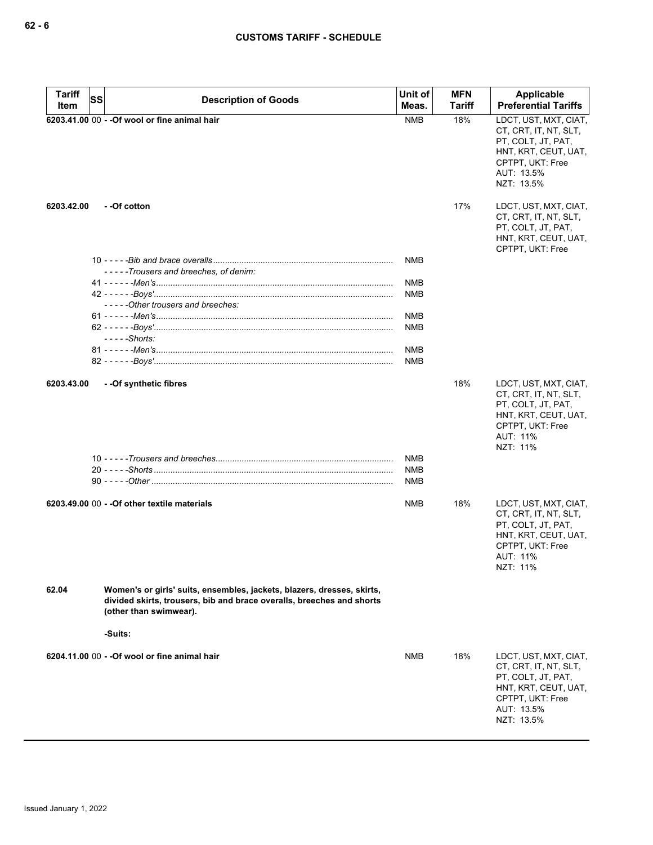| Meas.<br>Item<br>6203.41.00 00 - - Of wool or fine animal hair<br><b>NMB</b><br>18%<br>PT, COLT, JT, PAT,<br>CPTPT, UKT: Free<br>AUT: 13.5%<br>NZT: 13.5%<br>6203.42.00<br>- - Of cotton<br>17%<br>PT, COLT, JT, PAT,<br>CPTPT, UKT: Free<br>NMB<br>-----Trousers and breeches, of denim:<br>NMB<br>NMB<br>-----Other trousers and breeches:<br>NMB<br>NMB<br>$--$ - $-$ Shorts:<br>NMB<br>NMB<br>--Of synthetic fibres<br>18%<br>6203.43.00<br>PT, COLT, JT, PAT,<br>CPTPT, UKT: Free<br>AUT: 11%<br>NZT: 11%<br>NMB<br>NMB<br>NMB<br>6203.49.00 00 - - Of other textile materials<br>NMB<br>18%<br>PT, COLT, JT, PAT,<br>CPTPT, UKT: Free<br>AUT: 11%<br>NZT: 11%<br>62.04<br>Women's or girls' suits, ensembles, jackets, blazers, dresses, skirts,<br>divided skirts, trousers, bib and brace overalls, breeches and shorts<br>(other than swimwear).<br>-Suits:<br>6204.11.00 00 - - Of wool or fine animal hair<br>18%<br>NMB<br>PT, COLT, JT, PAT, | <b>Tariff</b> | <b>SS</b><br><b>Description of Goods</b> | Unit of | <b>MFN</b>    | Applicable                                                                                 |
|-----------------------------------------------------------------------------------------------------------------------------------------------------------------------------------------------------------------------------------------------------------------------------------------------------------------------------------------------------------------------------------------------------------------------------------------------------------------------------------------------------------------------------------------------------------------------------------------------------------------------------------------------------------------------------------------------------------------------------------------------------------------------------------------------------------------------------------------------------------------------------------------------------------------------------------------------------------|---------------|------------------------------------------|---------|---------------|--------------------------------------------------------------------------------------------|
|                                                                                                                                                                                                                                                                                                                                                                                                                                                                                                                                                                                                                                                                                                                                                                                                                                                                                                                                                           |               |                                          |         | <b>Tariff</b> | <b>Preferential Tariffs</b>                                                                |
|                                                                                                                                                                                                                                                                                                                                                                                                                                                                                                                                                                                                                                                                                                                                                                                                                                                                                                                                                           |               |                                          |         |               | LDCT, UST, MXT, CIAT,<br>CT, CRT, IT, NT, SLT,<br>HNT, KRT, CEUT, UAT,                     |
|                                                                                                                                                                                                                                                                                                                                                                                                                                                                                                                                                                                                                                                                                                                                                                                                                                                                                                                                                           |               |                                          |         |               | LDCT, UST, MXT, CIAT,<br>CT, CRT, IT, NT, SLT,<br>HNT, KRT, CEUT, UAT,                     |
|                                                                                                                                                                                                                                                                                                                                                                                                                                                                                                                                                                                                                                                                                                                                                                                                                                                                                                                                                           |               |                                          |         |               |                                                                                            |
|                                                                                                                                                                                                                                                                                                                                                                                                                                                                                                                                                                                                                                                                                                                                                                                                                                                                                                                                                           |               |                                          |         |               |                                                                                            |
|                                                                                                                                                                                                                                                                                                                                                                                                                                                                                                                                                                                                                                                                                                                                                                                                                                                                                                                                                           |               |                                          |         |               |                                                                                            |
|                                                                                                                                                                                                                                                                                                                                                                                                                                                                                                                                                                                                                                                                                                                                                                                                                                                                                                                                                           |               |                                          |         |               |                                                                                            |
|                                                                                                                                                                                                                                                                                                                                                                                                                                                                                                                                                                                                                                                                                                                                                                                                                                                                                                                                                           |               |                                          |         |               |                                                                                            |
|                                                                                                                                                                                                                                                                                                                                                                                                                                                                                                                                                                                                                                                                                                                                                                                                                                                                                                                                                           |               |                                          |         |               |                                                                                            |
|                                                                                                                                                                                                                                                                                                                                                                                                                                                                                                                                                                                                                                                                                                                                                                                                                                                                                                                                                           |               |                                          |         |               |                                                                                            |
|                                                                                                                                                                                                                                                                                                                                                                                                                                                                                                                                                                                                                                                                                                                                                                                                                                                                                                                                                           |               |                                          |         |               |                                                                                            |
|                                                                                                                                                                                                                                                                                                                                                                                                                                                                                                                                                                                                                                                                                                                                                                                                                                                                                                                                                           |               |                                          |         |               |                                                                                            |
|                                                                                                                                                                                                                                                                                                                                                                                                                                                                                                                                                                                                                                                                                                                                                                                                                                                                                                                                                           |               |                                          |         |               |                                                                                            |
|                                                                                                                                                                                                                                                                                                                                                                                                                                                                                                                                                                                                                                                                                                                                                                                                                                                                                                                                                           |               |                                          |         |               | LDCT, UST, MXT, CIAT,<br>CT, CRT, IT, NT, SLT,<br>HNT, KRT, CEUT, UAT,                     |
|                                                                                                                                                                                                                                                                                                                                                                                                                                                                                                                                                                                                                                                                                                                                                                                                                                                                                                                                                           |               |                                          |         |               |                                                                                            |
|                                                                                                                                                                                                                                                                                                                                                                                                                                                                                                                                                                                                                                                                                                                                                                                                                                                                                                                                                           |               |                                          |         |               |                                                                                            |
|                                                                                                                                                                                                                                                                                                                                                                                                                                                                                                                                                                                                                                                                                                                                                                                                                                                                                                                                                           |               |                                          |         |               |                                                                                            |
|                                                                                                                                                                                                                                                                                                                                                                                                                                                                                                                                                                                                                                                                                                                                                                                                                                                                                                                                                           |               |                                          |         |               | LDCT, UST, MXT, CIAT,<br>CT, CRT, IT, NT, SLT,<br>HNT, KRT, CEUT, UAT,                     |
|                                                                                                                                                                                                                                                                                                                                                                                                                                                                                                                                                                                                                                                                                                                                                                                                                                                                                                                                                           |               |                                          |         |               |                                                                                            |
|                                                                                                                                                                                                                                                                                                                                                                                                                                                                                                                                                                                                                                                                                                                                                                                                                                                                                                                                                           |               |                                          |         |               |                                                                                            |
|                                                                                                                                                                                                                                                                                                                                                                                                                                                                                                                                                                                                                                                                                                                                                                                                                                                                                                                                                           |               |                                          |         |               |                                                                                            |
| AUT: 13.5%<br>NZT: 13.5%                                                                                                                                                                                                                                                                                                                                                                                                                                                                                                                                                                                                                                                                                                                                                                                                                                                                                                                                  |               |                                          |         |               | LDCT, UST, MXT, CIAT,<br>CT, CRT, IT, NT, SLT,<br>HNT, KRT, CEUT, UAT,<br>CPTPT, UKT: Free |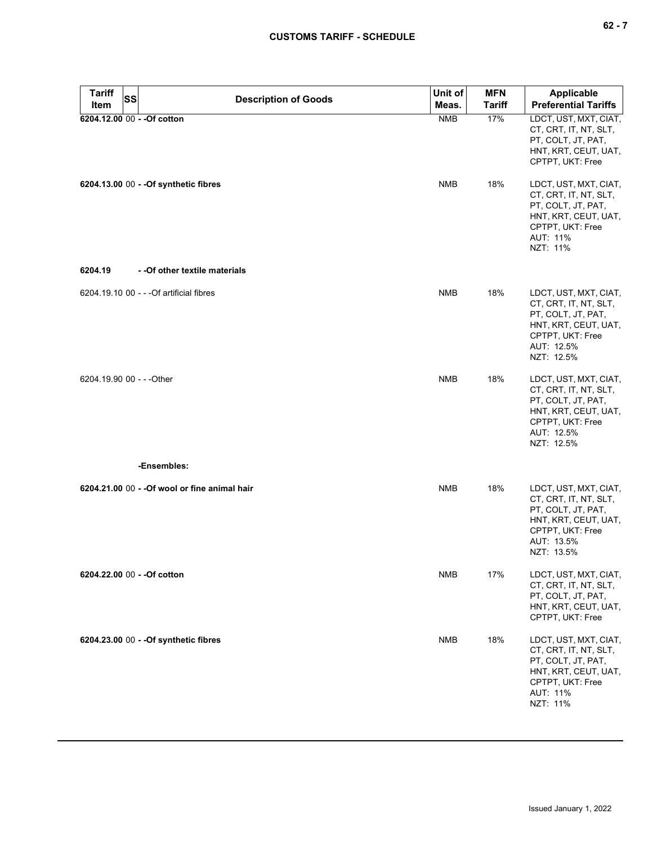| <b>Tariff</b> | <b>Description of Goods</b>                   | Unit of    | <b>MFN</b>    | Applicable                                                                                                                                   |
|---------------|-----------------------------------------------|------------|---------------|----------------------------------------------------------------------------------------------------------------------------------------------|
| Item          | <b>SS</b>                                     | Meas.      | <b>Tariff</b> | <b>Preferential Tariffs</b>                                                                                                                  |
|               | 6204.12.00 00 - - Of cotton                   | <b>NMB</b> | 17%           | LDCT, UST, MXT, CIAT,<br>CT, CRT, IT, NT, SLT,<br>PT, COLT, JT, PAT,<br>HNT, KRT, CEUT, UAT,<br>CPTPT, UKT: Free                             |
|               | 6204.13.00 00 - - Of synthetic fibres         | <b>NMB</b> | 18%           | LDCT, UST, MXT, CIAT,<br>CT, CRT, IT, NT, SLT,<br>PT, COLT, JT, PAT,<br>HNT, KRT, CEUT, UAT,<br>CPTPT, UKT: Free<br>AUT: 11%<br>NZT: 11%     |
| 6204.19       | - - Of other textile materials                |            |               |                                                                                                                                              |
|               | 6204.19.10 00 - - - Of artificial fibres      | <b>NMB</b> | 18%           | LDCT, UST, MXT, CIAT,<br>CT, CRT, IT, NT, SLT,<br>PT, COLT, JT, PAT,<br>HNT, KRT, CEUT, UAT,<br>CPTPT, UKT: Free<br>AUT: 12.5%<br>NZT: 12.5% |
|               | 6204.19.90 00 - - - Other                     | <b>NMB</b> | 18%           | LDCT, UST, MXT, CIAT,<br>CT, CRT, IT, NT, SLT,<br>PT, COLT, JT, PAT,<br>HNT, KRT, CEUT, UAT,<br>CPTPT, UKT: Free<br>AUT: 12.5%<br>NZT: 12.5% |
|               | -Ensembles:                                   |            |               |                                                                                                                                              |
|               | 6204.21.00 00 - - Of wool or fine animal hair | <b>NMB</b> | 18%           | LDCT, UST, MXT, CIAT,<br>CT, CRT, IT, NT, SLT,<br>PT, COLT, JT, PAT,<br>HNT, KRT, CEUT, UAT,<br>CPTPT, UKT: Free<br>AUT: 13.5%<br>NZT: 13.5% |
|               | 6204.22.00 00 - - Of cotton                   | <b>NMB</b> | 17%           | LDCT, UST, MXT, CIAT,<br>CT, CRT, IT, NT, SLT,<br>PT, COLT, JT, PAT,<br>HNT, KRT, CEUT, UAT,<br>CPTPT, UKT: Free                             |
|               | 6204.23.00 00 - - Of synthetic fibres         | <b>NMB</b> | 18%           | LDCT, UST, MXT, CIAT,<br>CT, CRT, IT, NT, SLT,<br>PT, COLT, JT, PAT,<br>HNT, KRT, CEUT, UAT,<br>CPTPT, UKT: Free<br>AUT: 11%<br>NZT: 11%     |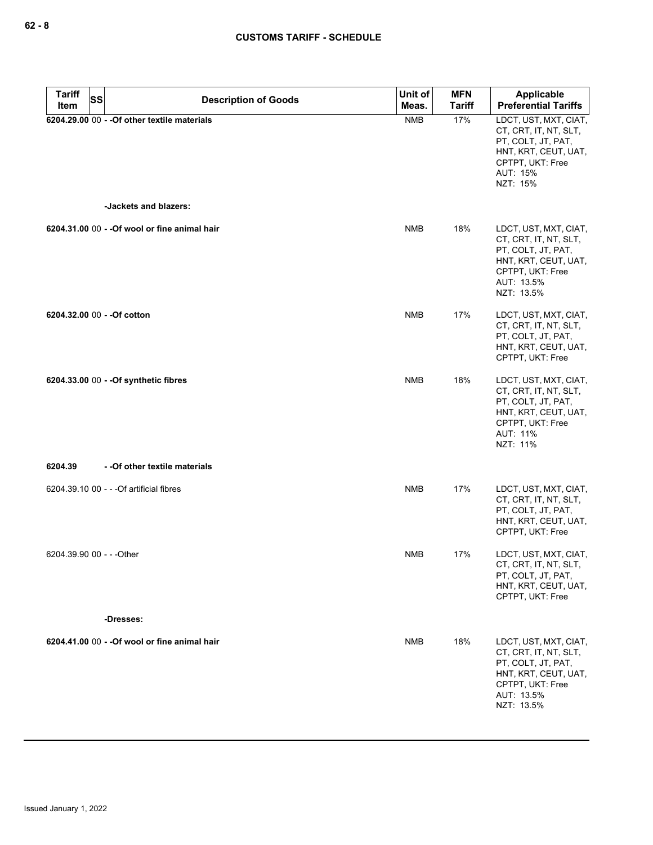| <b>Tariff</b><br>SS<br>Item | <b>Description of Goods</b>                                           | Unit of<br>Meas. | <b>MFN</b><br><b>Tariff</b> | <b>Applicable</b><br><b>Preferential Tariffs</b>                                                                                             |
|-----------------------------|-----------------------------------------------------------------------|------------------|-----------------------------|----------------------------------------------------------------------------------------------------------------------------------------------|
|                             | 6204.29.00 00 - - Of other textile materials<br>-Jackets and blazers: | <b>NMB</b>       | 17%                         | LDCT, UST, MXT, CIAT,<br>CT, CRT, IT, NT, SLT,<br>PT, COLT, JT, PAT,<br>HNT, KRT, CEUT, UAT,<br>CPTPT, UKT: Free<br>AUT: 15%<br>NZT: 15%     |
|                             |                                                                       |                  |                             |                                                                                                                                              |
|                             | 6204.31.00 00 - - Of wool or fine animal hair                         | <b>NMB</b>       | 18%                         | LDCT, UST, MXT, CIAT,<br>CT, CRT, IT, NT, SLT,<br>PT, COLT, JT, PAT,<br>HNT, KRT, CEUT, UAT,<br>CPTPT, UKT: Free<br>AUT: 13.5%<br>NZT: 13.5% |
| 6204.32.00 00 - - Of cotton |                                                                       | <b>NMB</b>       | 17%                         | LDCT, UST, MXT, CIAT,<br>CT, CRT, IT, NT, SLT,<br>PT, COLT, JT, PAT,<br>HNT, KRT, CEUT, UAT,<br>CPTPT, UKT: Free                             |
|                             | 6204.33.00 00 - - Of synthetic fibres                                 | <b>NMB</b>       | 18%                         | LDCT, UST, MXT, CIAT,<br>CT, CRT, IT, NT, SLT,<br>PT, COLT, JT, PAT,<br>HNT, KRT, CEUT, UAT,<br>CPTPT, UKT: Free<br>AUT: 11%<br>NZT: 11%     |
| 6204.39                     | - - Of other textile materials                                        |                  |                             |                                                                                                                                              |
|                             | 6204.39.10 00 - - - Of artificial fibres                              | <b>NMB</b>       | 17%                         | LDCT, UST, MXT, CIAT,<br>CT, CRT, IT, NT, SLT,<br>PT, COLT, JT, PAT,<br>HNT, KRT, CEUT, UAT,<br>CPTPT, UKT: Free                             |
| 6204.39.90 00 - - - Other   |                                                                       | <b>NMB</b>       | 17%                         | LDCT, UST, MXT, CIAT,<br>CT, CRT, IT, NT, SLT,<br>PT, COLT, JT, PAT,<br>HNT, KRT, CEUT, UAT,<br>CPTPT, UKT: Free                             |
|                             | -Dresses:                                                             |                  |                             |                                                                                                                                              |
|                             | 6204.41.00 00 - - Of wool or fine animal hair                         | <b>NMB</b>       | 18%                         | LDCT, UST, MXT, CIAT,<br>CT, CRT, IT, NT, SLT,<br>PT, COLT, JT, PAT,<br>HNT, KRT, CEUT, UAT,<br>CPTPT, UKT: Free<br>AUT: 13.5%<br>NZT: 13.5% |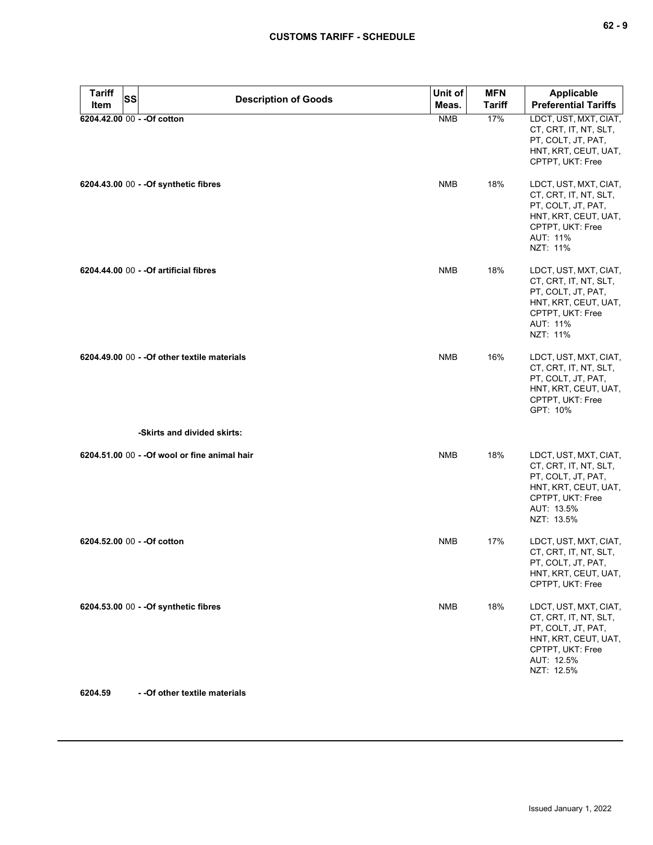| <b>Tariff</b><br>SS         | <b>Description of Goods</b>                                                 | Unit of    | <b>MFN</b>    | <b>Applicable</b>                                                                                                                            |
|-----------------------------|-----------------------------------------------------------------------------|------------|---------------|----------------------------------------------------------------------------------------------------------------------------------------------|
| Item                        |                                                                             | Meas.      | <b>Tariff</b> | <b>Preferential Tariffs</b>                                                                                                                  |
| 6204.42.00 00 - - Of cotton |                                                                             | <b>NMB</b> | 17%           | LDCT, UST, MXT, CIAT,<br>CT, CRT, IT, NT, SLT,<br>PT, COLT, JT, PAT,<br>HNT, KRT, CEUT, UAT,<br>CPTPT, UKT: Free                             |
|                             | 6204.43.00 00 - - Of synthetic fibres                                       | <b>NMB</b> | 18%           | LDCT, UST, MXT, CIAT,<br>CT, CRT, IT, NT, SLT,<br>PT, COLT, JT, PAT,<br>HNT, KRT, CEUT, UAT,<br>CPTPT, UKT: Free<br>AUT: 11%<br>NZT: 11%     |
|                             | 6204.44.00 00 - - Of artificial fibres                                      | <b>NMB</b> | 18%           | LDCT, UST, MXT, CIAT,<br>CT, CRT, IT, NT, SLT,<br>PT, COLT, JT, PAT,<br>HNT, KRT, CEUT, UAT,<br>CPTPT, UKT: Free<br>AUT: 11%<br>NZT: 11%     |
|                             | 6204.49.00 00 - - Of other textile materials<br>-Skirts and divided skirts: | <b>NMB</b> | 16%           | LDCT, UST, MXT, CIAT,<br>CT, CRT, IT, NT, SLT,<br>PT, COLT, JT, PAT,<br>HNT, KRT, CEUT, UAT,<br>CPTPT, UKT: Free<br>GPT: 10%                 |
|                             |                                                                             |            |               |                                                                                                                                              |
|                             | 6204.51.00 00 - - Of wool or fine animal hair                               | <b>NMB</b> | 18%           | LDCT, UST, MXT, CIAT,<br>CT, CRT, IT, NT, SLT,<br>PT, COLT, JT, PAT,<br>HNT, KRT, CEUT, UAT,<br>CPTPT, UKT: Free<br>AUT: 13.5%<br>NZT: 13.5% |
| 6204.52.00 00 - - Of cotton |                                                                             | <b>NMB</b> | 17%           | LDCT, UST, MXT, CIAT,<br>CT, CRT, IT, NT, SLT,<br>PT, COLT, JT, PAT,<br>HNT, KRT, CEUT, UAT,<br>CPTPT, UKT: Free                             |
|                             | 6204.53.00 00 - - Of synthetic fibres                                       | <b>NMB</b> | 18%           | LDCT, UST, MXT, CIAT,<br>CT, CRT, IT, NT, SLT,<br>PT, COLT, JT, PAT,<br>HNT, KRT, CEUT, UAT,<br>CPTPT, UKT: Free<br>AUT: 12.5%<br>NZT: 12.5% |

**6204.59 - -Of other textile materials**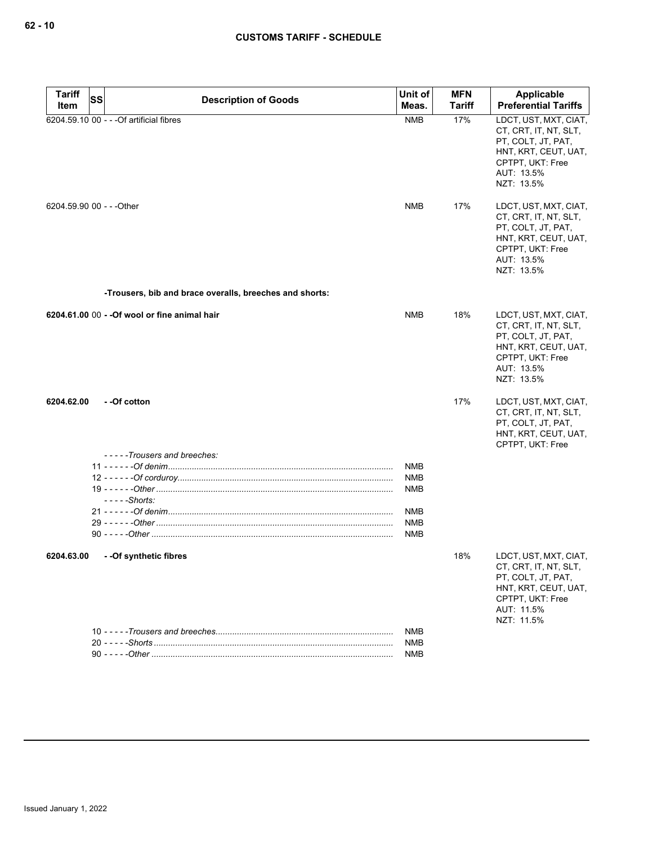| <b>Tariff</b><br><b>SS</b> |                                                         | Unit of                  | <b>MFN</b> | Applicable                                                                                                                                   |
|----------------------------|---------------------------------------------------------|--------------------------|------------|----------------------------------------------------------------------------------------------------------------------------------------------|
| Item                       | <b>Description of Goods</b>                             | Meas.                    | Tariff     | <b>Preferential Tariffs</b>                                                                                                                  |
|                            | 6204.59.10 00 - - - Of artificial fibres                | <b>NMB</b>               | 17%        | LDCT, UST, MXT, CIAT,<br>CT, CRT, IT, NT, SLT,<br>PT, COLT, JT, PAT,<br>HNT, KRT, CEUT, UAT,<br>CPTPT, UKT: Free<br>AUT: 13.5%<br>NZT: 13.5% |
| 6204.59.90 00 - - - Other  |                                                         | <b>NMB</b>               | 17%        | LDCT, UST, MXT, CIAT,<br>CT, CRT, IT, NT, SLT,<br>PT, COLT, JT, PAT,<br>HNT, KRT, CEUT, UAT,<br>CPTPT, UKT: Free<br>AUT: 13.5%<br>NZT: 13.5% |
|                            | -Trousers, bib and brace overalls, breeches and shorts: |                          |            |                                                                                                                                              |
|                            | 6204.61.00 00 - - Of wool or fine animal hair           | <b>NMB</b>               | 18%        | LDCT, UST, MXT, CIAT,<br>CT, CRT, IT, NT, SLT,<br>PT, COLT, JT, PAT,<br>HNT, KRT, CEUT, UAT,<br>CPTPT, UKT: Free<br>AUT: 13.5%<br>NZT: 13.5% |
| 6204.62.00                 | - -Of cotton                                            |                          | 17%        | LDCT, UST, MXT, CIAT,<br>CT, CRT, IT, NT, SLT,<br>PT, COLT, JT, PAT,<br>HNT, KRT, CEUT, UAT,<br>CPTPT, UKT: Free                             |
|                            | -----Trousers and breeches:                             | <b>NMB</b>               |            |                                                                                                                                              |
|                            | $--$ - $-$ Shorts:                                      | <b>NMB</b><br><b>NMB</b> |            |                                                                                                                                              |
|                            |                                                         | <b>NMB</b>               |            |                                                                                                                                              |
|                            |                                                         | <b>NMB</b><br><b>NMB</b> |            |                                                                                                                                              |
| 6204.63.00                 | --Of synthetic fibres                                   |                          | 18%        | LDCT, UST, MXT, CIAT,<br>CT, CRT, IT, NT, SLT,<br>PT, COLT, JT, PAT,<br>HNT, KRT, CEUT, UAT,<br>CPTPT, UKT: Free<br>AUT: 11.5%<br>NZT: 11.5% |
|                            |                                                         | <b>NMB</b>               |            |                                                                                                                                              |
|                            |                                                         | <b>NMB</b><br><b>NMB</b> |            |                                                                                                                                              |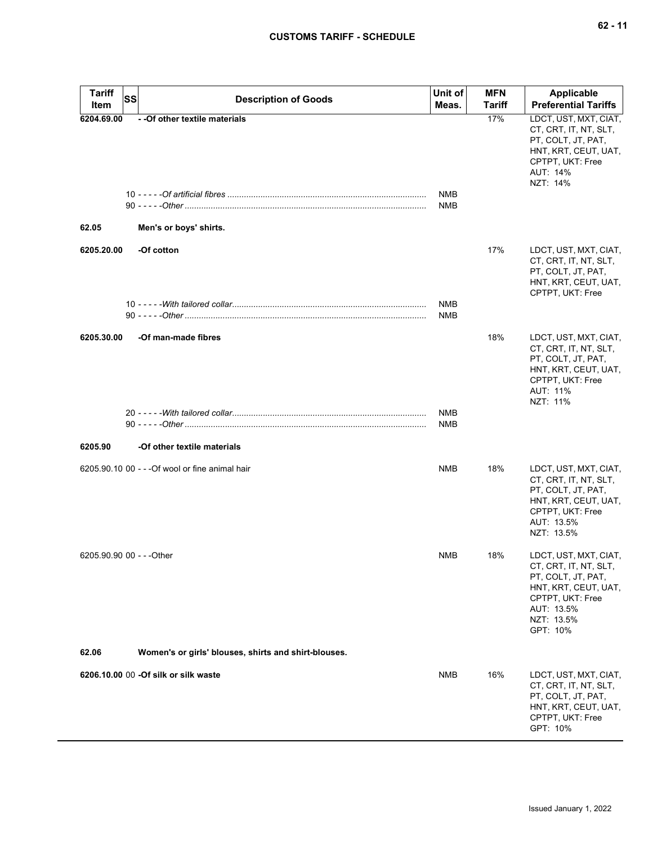| <b>Tariff</b><br>Item     | <b>SS</b> | <b>Description of Goods</b>                              | Unit of<br>Meas.  | <b>MFN</b><br><b>Tariff</b> | Applicable<br><b>Preferential Tariffs</b>                                                                                                                |
|---------------------------|-----------|----------------------------------------------------------|-------------------|-----------------------------|----------------------------------------------------------------------------------------------------------------------------------------------------------|
| 6204.69.00<br>62.05       |           | - - Of other textile materials<br>Men's or boys' shirts. | NMB<br>NMB        | 17%                         | LDCT, UST, MXT, CIAT,<br>CT, CRT, IT, NT, SLT,<br>PT, COLT, JT, PAT,<br>HNT, KRT, CEUT, UAT,<br>CPTPT, UKT: Free<br>AUT: 14%<br>NZT: 14%                 |
|                           |           |                                                          |                   |                             |                                                                                                                                                          |
| 6205.20.00                |           | -Of cotton                                               | <b>NMB</b>        | 17%                         | LDCT, UST, MXT, CIAT,<br>CT, CRT, IT, NT, SLT,<br>PT, COLT, JT, PAT,<br>HNT, KRT, CEUT, UAT,<br>CPTPT, UKT: Free                                         |
|                           |           |                                                          | NMB               |                             |                                                                                                                                                          |
| 6205.30.00                |           | -Of man-made fibres                                      |                   | 18%                         | LDCT, UST, MXT, CIAT,<br>CT, CRT, IT, NT, SLT,<br>PT, COLT, JT, PAT,<br>HNT, KRT, CEUT, UAT,<br>CPTPT, UKT: Free<br>AUT: 11%<br>NZT: 11%                 |
|                           |           |                                                          | <b>NMB</b><br>NMB |                             |                                                                                                                                                          |
| 6205.90                   |           | -Of other textile materials                              |                   |                             |                                                                                                                                                          |
|                           |           | 6205.90.10 00 - - - Of wool or fine animal hair          | <b>NMB</b>        | 18%                         | LDCT, UST, MXT, CIAT,<br>CT, CRT, IT, NT, SLT,<br>PT, COLT, JT, PAT,<br>HNT, KRT, CEUT, UAT,<br>CPTPT, UKT: Free<br>AUT: 13.5%<br>NZT: 13.5%             |
| 6205.90.90 00 - - - Other |           |                                                          | <b>NMB</b>        | 18%                         | LDCT, UST, MXT, CIAT,<br>CT, CRT, IT, NT, SLT,<br>PT, COLT, JT, PAT,<br>HNT, KRT, CEUT, UAT,<br>CPTPT, UKT: Free<br>AUT: 13.5%<br>NZT: 13.5%<br>GPT: 10% |
| 62.06                     |           | Women's or girls' blouses, shirts and shirt-blouses.     |                   |                             |                                                                                                                                                          |
|                           |           | 6206.10.00 00 - Of silk or silk waste                    | <b>NMB</b>        | 16%                         | LDCT, UST, MXT, CIAT,<br>CT, CRT, IT, NT, SLT,<br>PT, COLT, JT, PAT,<br>HNT, KRT, CEUT, UAT,<br>CPTPT, UKT: Free<br>GPT: 10%                             |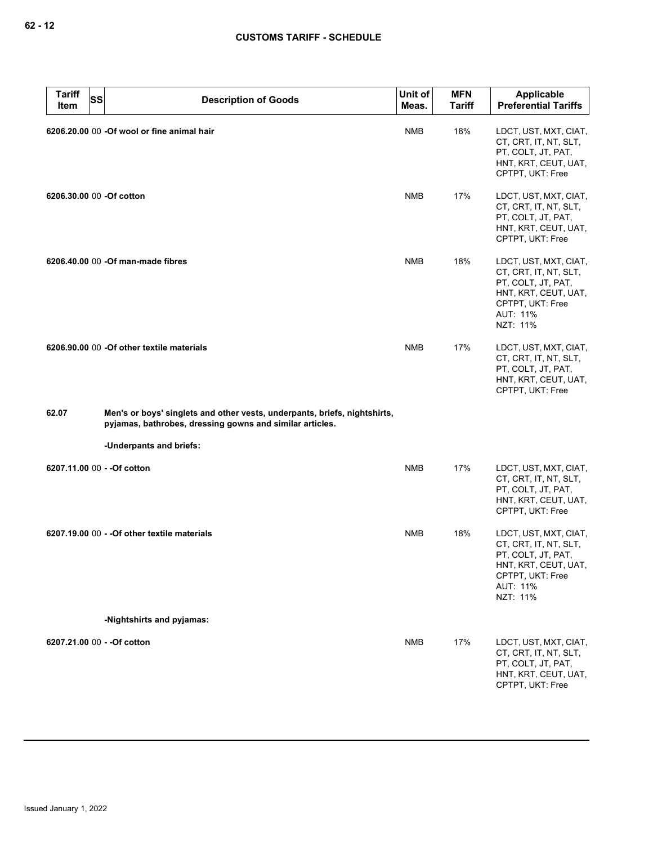| <b>Tariff</b><br>Item    | <b>SS</b> | <b>Description of Goods</b>                                                                                                           | Unit of<br>Meas. | <b>MFN</b><br><b>Tariff</b> | Applicable<br><b>Preferential Tariffs</b>                                                                                                |
|--------------------------|-----------|---------------------------------------------------------------------------------------------------------------------------------------|------------------|-----------------------------|------------------------------------------------------------------------------------------------------------------------------------------|
|                          |           | 6206.20.00 00 -Of wool or fine animal hair                                                                                            | <b>NMB</b>       | 18%                         | LDCT, UST, MXT, CIAT,<br>CT, CRT, IT, NT, SLT,<br>PT, COLT, JT, PAT,<br>HNT, KRT, CEUT, UAT,<br>CPTPT, UKT: Free                         |
| 6206.30.00 00 -Of cotton |           |                                                                                                                                       | <b>NMB</b>       | 17%                         | LDCT, UST, MXT, CIAT,<br>CT, CRT, IT, NT, SLT,<br>PT, COLT, JT, PAT,<br>HNT, KRT, CEUT, UAT,<br>CPTPT, UKT: Free                         |
|                          |           | 6206.40.00 00 -Of man-made fibres                                                                                                     | <b>NMB</b>       | 18%                         | LDCT, UST, MXT, CIAT,<br>CT, CRT, IT, NT, SLT,<br>PT, COLT, JT, PAT,<br>HNT, KRT, CEUT, UAT,<br>CPTPT, UKT: Free<br>AUT: 11%<br>NZT: 11% |
|                          |           | 6206.90.00 00 -Of other textile materials                                                                                             | <b>NMB</b>       | 17%                         | LDCT, UST, MXT, CIAT,<br>CT, CRT, IT, NT, SLT,<br>PT, COLT, JT, PAT,<br>HNT, KRT, CEUT, UAT,<br>CPTPT, UKT: Free                         |
| 62.07                    |           | Men's or boys' singlets and other vests, underpants, briefs, nightshirts,<br>pyjamas, bathrobes, dressing gowns and similar articles. |                  |                             |                                                                                                                                          |
|                          |           | -Underpants and briefs:                                                                                                               |                  |                             |                                                                                                                                          |
|                          |           | 6207.11.00 00 - - Of cotton                                                                                                           | <b>NMB</b>       | 17%                         | LDCT, UST, MXT, CIAT,<br>CT, CRT, IT, NT, SLT,<br>PT, COLT, JT, PAT,<br>HNT, KRT, CEUT, UAT,<br>CPTPT, UKT: Free                         |
|                          |           | 6207.19.00 00 - - Of other textile materials                                                                                          | <b>NMB</b>       | 18%                         | LDCT, UST, MXT, CIAT,<br>CT, CRT, IT, NT, SLT,<br>PT, COLT, JT, PAT,<br>HNT, KRT, CEUT, UAT,<br>CPTPT, UKT: Free<br>AUT: 11%<br>NZT: 11% |
|                          |           | -Nightshirts and pyjamas:                                                                                                             |                  |                             |                                                                                                                                          |
|                          |           | 6207.21.00 00 - - Of cotton                                                                                                           | <b>NMB</b>       | 17%                         | LDCT, UST, MXT, CIAT,<br>CT, CRT, IT, NT, SLT,<br>PT, COLT, JT, PAT,<br>HNT, KRT, CEUT, UAT,<br>CPTPT, UKT: Free                         |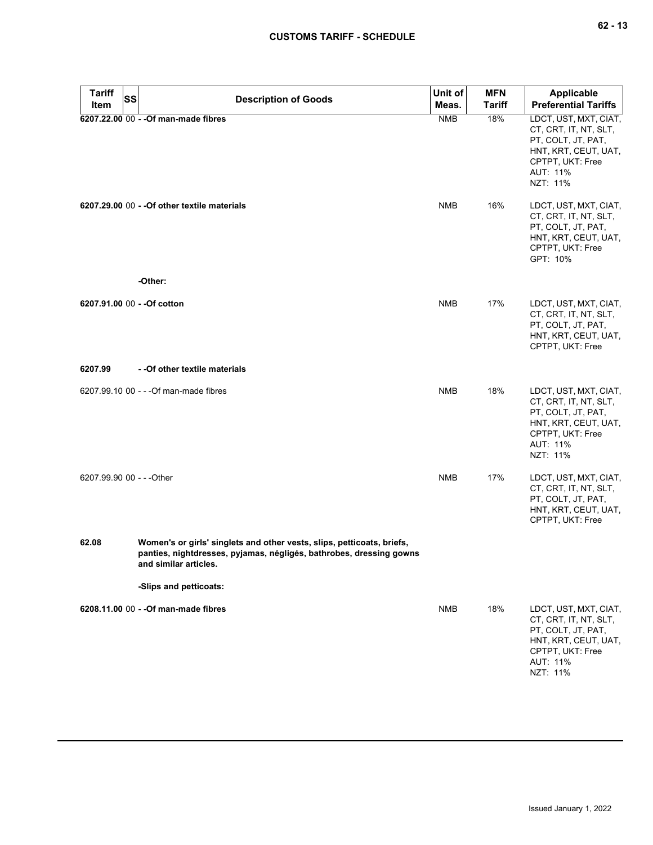| <b>Tariff</b><br>SS         | <b>Description of Goods</b>                                                                                                                                            | Unit of    | <b>MFN</b>    | <b>Applicable</b>                                                                                                                        |
|-----------------------------|------------------------------------------------------------------------------------------------------------------------------------------------------------------------|------------|---------------|------------------------------------------------------------------------------------------------------------------------------------------|
| Item                        |                                                                                                                                                                        | Meas.      | <b>Tariff</b> | <b>Preferential Tariffs</b>                                                                                                              |
|                             | 6207.22.00 00 - - Of man-made fibres                                                                                                                                   | <b>NMB</b> | 18%           | LDCT, UST, MXT, CIAT,<br>CT, CRT, IT, NT, SLT,<br>PT, COLT, JT, PAT,<br>HNT, KRT, CEUT, UAT,<br>CPTPT, UKT: Free<br>AUT: 11%<br>NZT: 11% |
|                             | 6207.29.00 00 - - Of other textile materials<br>-Other:                                                                                                                | <b>NMB</b> | 16%           | LDCT, UST, MXT, CIAT,<br>CT, CRT, IT, NT, SLT,<br>PT, COLT, JT, PAT,<br>HNT, KRT, CEUT, UAT,<br>CPTPT, UKT: Free<br>GPT: 10%             |
| 6207.91.00 00 - - Of cotton |                                                                                                                                                                        | <b>NMB</b> | 17%           | LDCT, UST, MXT, CIAT,                                                                                                                    |
|                             |                                                                                                                                                                        |            |               | CT, CRT, IT, NT, SLT,<br>PT, COLT, JT, PAT,<br>HNT, KRT, CEUT, UAT,<br>CPTPT, UKT: Free                                                  |
| 6207.99                     | - - Of other textile materials                                                                                                                                         |            |               |                                                                                                                                          |
|                             | 6207.99.10 00 - - - Of man-made fibres                                                                                                                                 | <b>NMB</b> | 18%           | LDCT, UST, MXT, CIAT,<br>CT, CRT, IT, NT, SLT,<br>PT, COLT, JT, PAT,<br>HNT, KRT, CEUT, UAT,<br>CPTPT, UKT: Free<br>AUT: 11%<br>NZT: 11% |
| 6207.99.90 00 - - - Other   |                                                                                                                                                                        | <b>NMB</b> | 17%           | LDCT, UST, MXT, CIAT,<br>CT, CRT, IT, NT, SLT,<br>PT, COLT, JT, PAT,<br>HNT, KRT, CEUT, UAT,<br>CPTPT, UKT: Free                         |
| 62.08                       | Women's or girls' singlets and other vests, slips, petticoats, briefs,<br>panties, nightdresses, pyjamas, négligés, bathrobes, dressing gowns<br>and similar articles. |            |               |                                                                                                                                          |
|                             | -Slips and petticoats:                                                                                                                                                 |            |               |                                                                                                                                          |
|                             | 6208.11.00 00 - - Of man-made fibres                                                                                                                                   | <b>NMB</b> | 18%           | LDCT, UST, MXT, CIAT,<br>CT, CRT, IT, NT, SLT,<br>PT, COLT, JT, PAT,<br>HNT, KRT, CEUT, UAT,<br>CPTPT, UKT: Free<br>AUT: 11%<br>NZT: 11% |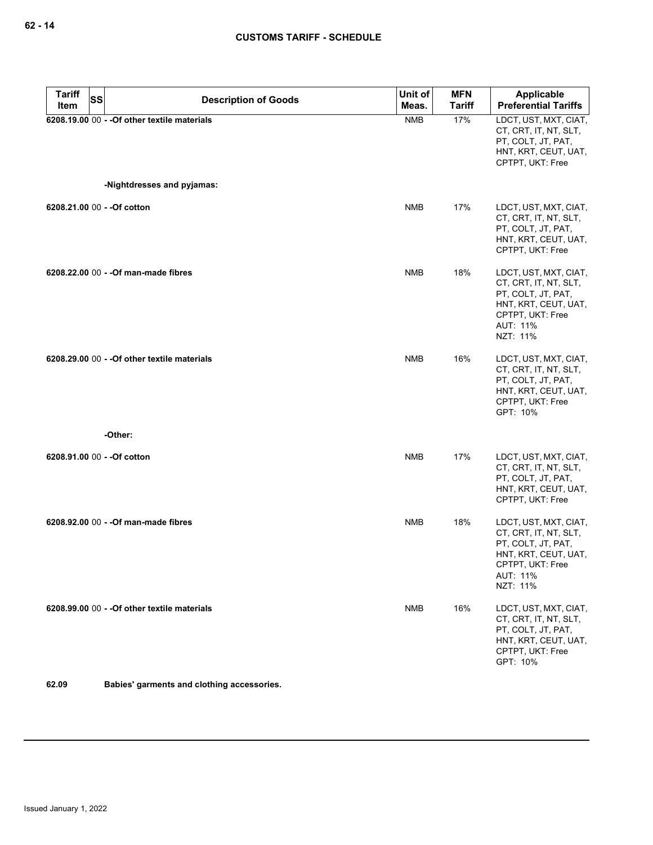| <b>Tariff</b> | SS<br><b>Description of Goods</b>                                          | Unit of    | <b>MFN</b>    | <b>Applicable</b>                                                                                                                        |
|---------------|----------------------------------------------------------------------------|------------|---------------|------------------------------------------------------------------------------------------------------------------------------------------|
| Item          |                                                                            | Meas.      | <b>Tariff</b> | <b>Preferential Tariffs</b>                                                                                                              |
|               | 6208.19.00 00 - - Of other textile materials<br>-Nightdresses and pyjamas: | <b>NMB</b> | 17%           | LDCT, UST, MXT, CIAT,<br>CT, CRT, IT, NT, SLT,<br>PT, COLT, JT, PAT,<br>HNT, KRT, CEUT, UAT,<br>CPTPT, UKT: Free                         |
|               |                                                                            |            |               |                                                                                                                                          |
|               | 6208.21.00 00 - - Of cotton                                                | <b>NMB</b> | 17%           | LDCT, UST, MXT, CIAT,<br>CT, CRT, IT, NT, SLT,<br>PT, COLT, JT, PAT,<br>HNT, KRT, CEUT, UAT,<br>CPTPT, UKT: Free                         |
|               | 6208.22.00 00 - - Of man-made fibres                                       | <b>NMB</b> | 18%           | LDCT, UST, MXT, CIAT,<br>CT, CRT, IT, NT, SLT,<br>PT, COLT, JT, PAT,<br>HNT, KRT, CEUT, UAT,<br>CPTPT, UKT: Free<br>AUT: 11%<br>NZT: 11% |
|               | 6208.29.00 00 - - Of other textile materials<br>-Other:                    | <b>NMB</b> | 16%           | LDCT, UST, MXT, CIAT,<br>CT, CRT, IT, NT, SLT,<br>PT, COLT, JT, PAT,<br>HNT, KRT, CEUT, UAT,<br>CPTPT, UKT: Free<br>GPT: 10%             |
|               |                                                                            |            |               |                                                                                                                                          |
|               | 6208.91.00 00 - - Of cotton                                                | <b>NMB</b> | 17%           | LDCT, UST, MXT, CIAT,<br>CT, CRT, IT, NT, SLT,<br>PT, COLT, JT, PAT,<br>HNT, KRT, CEUT, UAT,<br>CPTPT, UKT: Free                         |
|               | 6208.92.00 00 - - Of man-made fibres                                       | <b>NMB</b> | 18%           | LDCT, UST, MXT, CIAT,<br>CT, CRT, IT, NT, SLT,<br>PT, COLT, JT, PAT,<br>HNT, KRT, CEUT, UAT,<br>CPTPT, UKT: Free<br>AUT: 11%<br>NZT: 11% |
|               | 6208.99.00 00 - - Of other textile materials                               | <b>NMB</b> | 16%           | LDCT, UST, MXT, CIAT,<br>CT, CRT, IT, NT, SLT,<br>PT, COLT, JT, PAT,<br>HNT, KRT, CEUT, UAT,<br>CPTPT, UKT: Free<br>GPT: 10%             |

**62.09 Babies' garments and clothing accessories.**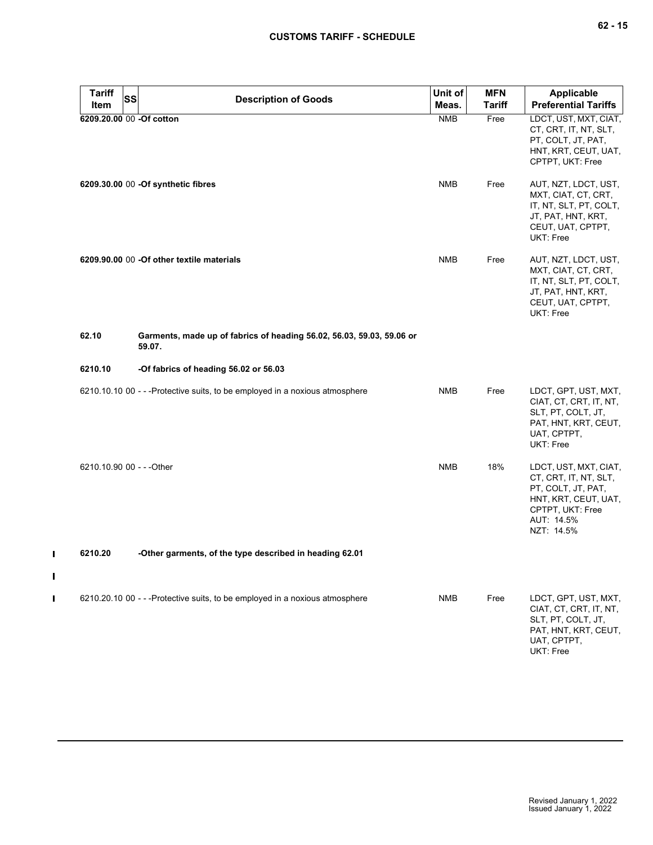| <b>Tariff</b><br>Item     | <b>SS</b> | <b>Description of Goods</b>                                                     | Unit of<br>Meas. | <b>MFN</b><br><b>Tariff</b> | <b>Applicable</b><br><b>Preferential Tariffs</b>                                                                                             |
|---------------------------|-----------|---------------------------------------------------------------------------------|------------------|-----------------------------|----------------------------------------------------------------------------------------------------------------------------------------------|
|                           |           | 6209.20.00 00 -Of cotton                                                        | <b>NMB</b>       | Free                        | LDCT, UST, MXT, CIAT,<br>CT, CRT, IT, NT, SLT,<br>PT, COLT, JT, PAT,<br>HNT, KRT, CEUT, UAT,<br>CPTPT, UKT: Free                             |
|                           |           | 6209.30.00 00 - Of synthetic fibres                                             | <b>NMB</b>       | Free                        | AUT, NZT, LDCT, UST,<br>MXT, CIAT, CT, CRT,<br>IT, NT, SLT, PT, COLT,<br>JT, PAT, HNT, KRT,<br>CEUT, UAT, CPTPT,<br>UKT: Free                |
|                           |           | 6209.90.00 00 -Of other textile materials                                       | <b>NMB</b>       | Free                        | AUT, NZT, LDCT, UST,<br>MXT, CIAT, CT, CRT,<br>IT, NT, SLT, PT, COLT,<br>JT, PAT, HNT, KRT,<br>CEUT, UAT, CPTPT,<br>UKT: Free                |
| 62.10                     |           | Garments, made up of fabrics of heading 56.02, 56.03, 59.03, 59.06 or<br>59.07. |                  |                             |                                                                                                                                              |
| 6210.10                   |           | -Of fabrics of heading 56.02 or 56.03                                           |                  |                             |                                                                                                                                              |
|                           |           | 6210.10.10 00 - - - Protective suits, to be employed in a noxious atmosphere    | <b>NMB</b>       | Free                        | LDCT, GPT, UST, MXT,<br>CIAT, CT, CRT, IT, NT,<br>SLT, PT, COLT, JT,<br>PAT, HNT, KRT, CEUT,<br>UAT, CPTPT,<br>UKT: Free                     |
| 6210.10.90 00 - - - Other |           |                                                                                 | <b>NMB</b>       | 18%                         | LDCT, UST, MXT, CIAT,<br>CT, CRT, IT, NT, SLT,<br>PT, COLT, JT, PAT,<br>HNT, KRT, CEUT, UAT,<br>CPTPT, UKT: Free<br>AUT: 14.5%<br>NZT: 14.5% |
| 6210.20                   |           | -Other garments, of the type described in heading 62.01                         |                  |                             |                                                                                                                                              |
|                           |           | 6210.20.10 00 - - - Protective suits, to be employed in a noxious atmosphere    | <b>NMB</b>       | Free                        | LDCT, GPT, UST, MXT,<br>CIAT, CT, CRT, IT, NT,<br>SLT, PT, COLT, JT,<br>PAT, HNT, KRT, CEUT,<br>UAT, CPTPT,<br>UKT: Free                     |

 $\mathbf{I}$ 

 $\mathbf{I}$ 

 $\mathbf{I}$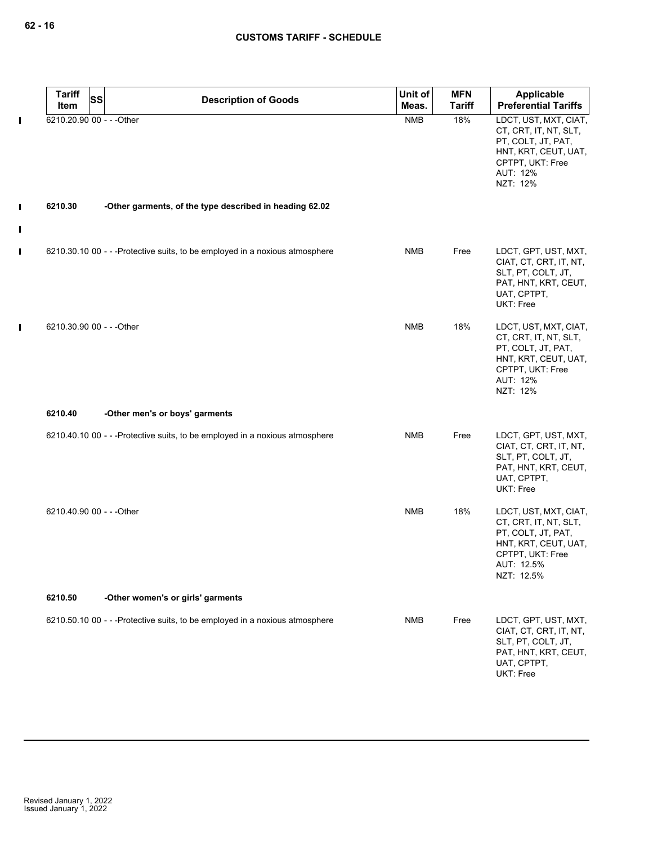| <b>Tariff</b>             | <b>SS</b> | <b>Description of Goods</b>                                                  | Unit of    | <b>MFN</b>    | Applicable                                                                                                                                   |
|---------------------------|-----------|------------------------------------------------------------------------------|------------|---------------|----------------------------------------------------------------------------------------------------------------------------------------------|
| Item                      |           |                                                                              | Meas.      | <b>Tariff</b> | <b>Preferential Tariffs</b>                                                                                                                  |
| 6210.20.90 00 - - - Other |           |                                                                              | <b>NMB</b> | 18%           | LDCT, UST, MXT, CIAT,<br>CT, CRT, IT, NT, SLT,<br>PT, COLT, JT, PAT,<br>HNT, KRT, CEUT, UAT,<br>CPTPT, UKT: Free<br>AUT: 12%<br>NZT: 12%     |
| 6210.30                   |           | -Other garments, of the type described in heading 62.02                      |            |               |                                                                                                                                              |
|                           |           | 6210.30.10 00 - - - Protective suits, to be employed in a noxious atmosphere | <b>NMB</b> | Free          | LDCT, GPT, UST, MXT,<br>CIAT, CT, CRT, IT, NT,<br>SLT, PT, COLT, JT,<br>PAT, HNT, KRT, CEUT,<br>UAT, CPTPT,<br>UKT: Free                     |
| 6210.30.90 00 - - - Other |           |                                                                              | <b>NMB</b> | 18%           | LDCT, UST, MXT, CIAT,<br>CT, CRT, IT, NT, SLT,<br>PT, COLT, JT, PAT,<br>HNT, KRT, CEUT, UAT,<br>CPTPT, UKT: Free<br>AUT: 12%<br>NZT: 12%     |
| 6210.40                   |           | -Other men's or boys' garments                                               |            |               |                                                                                                                                              |
|                           |           | 6210.40.10 00 - - - Protective suits, to be employed in a noxious atmosphere | <b>NMB</b> | Free          | LDCT, GPT, UST, MXT,<br>CIAT, CT, CRT, IT, NT,<br>SLT, PT, COLT, JT,<br>PAT, HNT, KRT, CEUT,<br>UAT, CPTPT,<br>UKT: Free                     |
| 6210.40.90 00 - - - Other |           |                                                                              | <b>NMB</b> | 18%           | LDCT, UST, MXT, CIAT,<br>CT, CRT, IT, NT, SLT,<br>PT, COLT, JT, PAT,<br>HNT, KRT, CEUT, UAT,<br>CPTPT, UKT: Free<br>AUT: 12.5%<br>NZT: 12.5% |
| 6210.50                   |           | -Other women's or girls' garments                                            |            |               |                                                                                                                                              |
|                           |           | 6210.50.10 00 - - - Protective suits, to be employed in a noxious atmosphere | <b>NMB</b> | Free          | LDCT, GPT, UST, MXT,<br>CIAT, CT, CRT, IT, NT,<br>SLT, PT, COLT, JT,<br>PAT, HNT, KRT, CEUT,<br>UAT, CPTPT,<br>UKT: Free                     |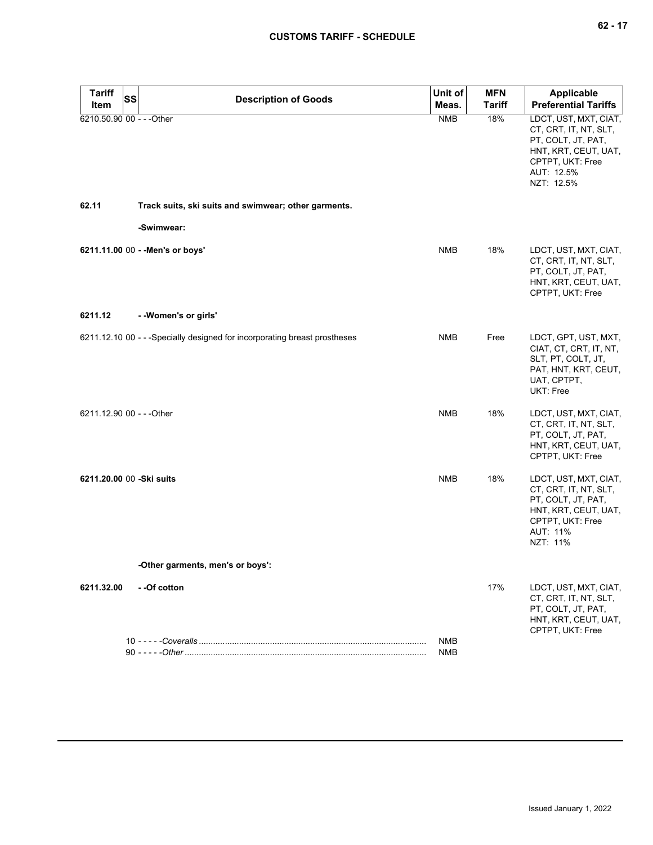| <b>Tariff</b><br><b>SS</b><br>Item | <b>Description of Goods</b>                                                | Unit of<br>Meas.  | <b>MFN</b><br><b>Tariff</b> | <b>Applicable</b><br><b>Preferential Tariffs</b>                                                                                             |
|------------------------------------|----------------------------------------------------------------------------|-------------------|-----------------------------|----------------------------------------------------------------------------------------------------------------------------------------------|
| 6210.50.90 00 - - - Other          |                                                                            | <b>NMB</b>        | 18%                         | LDCT, UST, MXT, CIAT,<br>CT, CRT, IT, NT, SLT,<br>PT, COLT, JT, PAT,<br>HNT, KRT, CEUT, UAT,<br>CPTPT, UKT: Free<br>AUT: 12.5%<br>NZT: 12.5% |
| 62.11                              | Track suits, ski suits and swimwear; other garments.                       |                   |                             |                                                                                                                                              |
|                                    | -Swimwear:                                                                 |                   |                             |                                                                                                                                              |
|                                    | 6211.11.00 00 - - Men's or boys'                                           | <b>NMB</b>        | 18%                         | LDCT, UST, MXT, CIAT,<br>CT, CRT, IT, NT, SLT,<br>PT, COLT, JT, PAT,<br>HNT, KRT, CEUT, UAT,<br>CPTPT, UKT: Free                             |
| 6211.12                            | - - Women's or girls'                                                      |                   |                             |                                                                                                                                              |
|                                    | 6211.12.10 00 - - - Specially designed for incorporating breast prostheses | NMB               | Free                        | LDCT, GPT, UST, MXT,<br>CIAT, CT, CRT, IT, NT,<br>SLT, PT, COLT, JT,<br>PAT, HNT, KRT, CEUT,<br>UAT, CPTPT,<br>UKT: Free                     |
| 6211.12.90 00 - - - Other          |                                                                            | <b>NMB</b>        | 18%                         | LDCT, UST, MXT, CIAT,<br>CT, CRT, IT, NT, SLT,<br>PT, COLT, JT, PAT,<br>HNT, KRT, CEUT, UAT,<br>CPTPT, UKT: Free                             |
| 6211.20.00 00 -Ski suits           |                                                                            | <b>NMB</b>        | 18%                         | LDCT, UST, MXT, CIAT,<br>CT, CRT, IT, NT, SLT,<br>PT, COLT, JT, PAT,<br>HNT, KRT, CEUT, UAT,<br>CPTPT, UKT: Free<br>AUT: 11%<br>NZT: 11%     |
|                                    | -Other garments, men's or boys':                                           |                   |                             |                                                                                                                                              |
| 6211.32.00                         | - - Of cotton                                                              |                   | 17%                         | LDCT, UST, MXT, CIAT,<br>CT, CRT, IT, NT, SLT,<br>PT, COLT, JT, PAT,<br>HNT, KRT, CEUT, UAT,<br>CPTPT, UKT: Free                             |
|                                    |                                                                            | NMB<br><b>NMB</b> |                             |                                                                                                                                              |
|                                    |                                                                            |                   |                             |                                                                                                                                              |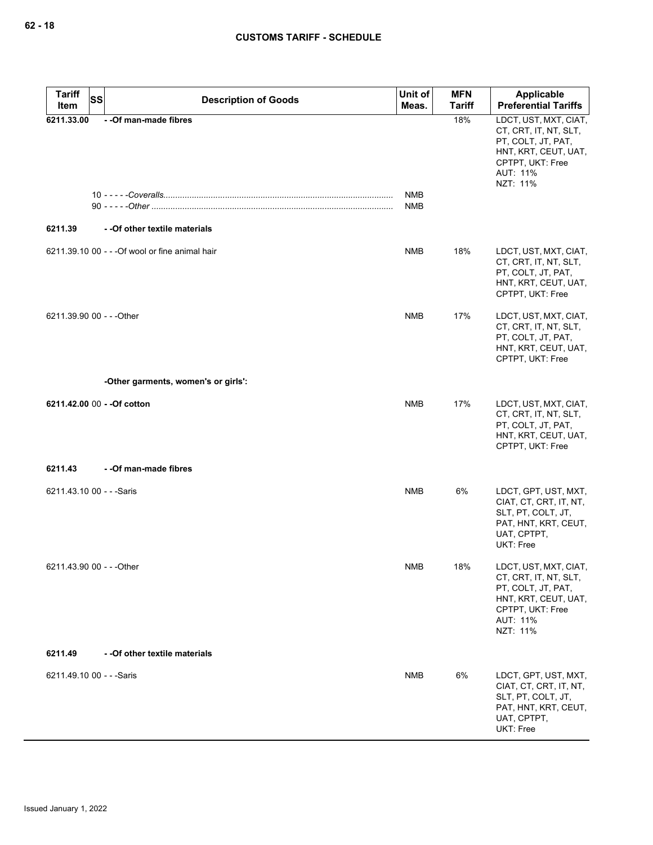| <b>Tariff</b><br><b>SS</b><br>Item | <b>Description of Goods</b>                     | Unit of<br>Meas.         | <b>MFN</b><br><b>Tariff</b> | <b>Applicable</b><br><b>Preferential Tariffs</b>                                                                                         |
|------------------------------------|-------------------------------------------------|--------------------------|-----------------------------|------------------------------------------------------------------------------------------------------------------------------------------|
| 6211.33.00                         | - - Of man-made fibres                          |                          | 18%                         | LDCT, UST, MXT, CIAT,<br>CT, CRT, IT, NT, SLT,<br>PT, COLT, JT, PAT,<br>HNT, KRT, CEUT, UAT,<br>CPTPT, UKT: Free<br>AUT: 11%<br>NZT: 11% |
|                                    |                                                 | <b>NMB</b><br><b>NMB</b> |                             |                                                                                                                                          |
| 6211.39                            | - - Of other textile materials                  |                          |                             |                                                                                                                                          |
|                                    | 6211.39.10 00 - - - Of wool or fine animal hair | <b>NMB</b>               | 18%                         | LDCT, UST, MXT, CIAT,<br>CT, CRT, IT, NT, SLT,<br>PT, COLT, JT, PAT,<br>HNT, KRT, CEUT, UAT,<br>CPTPT, UKT: Free                         |
| 6211.39.90 00 - - - Other          |                                                 | <b>NMB</b>               | 17%                         | LDCT, UST, MXT, CIAT,<br>CT, CRT, IT, NT, SLT,<br>PT, COLT, JT, PAT,<br>HNT, KRT, CEUT, UAT,<br>CPTPT, UKT: Free                         |
|                                    | -Other garments, women's or girls':             |                          |                             |                                                                                                                                          |
| 6211.42.00 00 - - Of cotton        |                                                 | <b>NMB</b>               | 17%                         | LDCT, UST, MXT, CIAT,<br>CT, CRT, IT, NT, SLT,<br>PT, COLT, JT, PAT,<br>HNT, KRT, CEUT, UAT,<br>CPTPT, UKT: Free                         |
| 6211.43                            | - - Of man-made fibres                          |                          |                             |                                                                                                                                          |
| 6211.43.10 00 - - - Saris          |                                                 | <b>NMB</b>               | 6%                          | LDCT, GPT, UST, MXT,<br>CIAT, CT, CRT, IT, NT,<br>SLT, PT, COLT, JT,<br>PAT, HNT, KRT, CEUT,<br>UAT, CPTPT,<br><b>UKT: Free</b>          |
| 6211.43.90 00 - - - Other          |                                                 | <b>NMB</b>               | 18%                         | LDCT, UST, MXT, CIAT,<br>CT, CRT, IT, NT, SLT,<br>PT, COLT, JT, PAT,<br>HNT, KRT, CEUT, UAT,<br>CPTPT, UKT: Free<br>AUT: 11%<br>NZT: 11% |
| 6211.49                            | - - Of other textile materials                  |                          |                             |                                                                                                                                          |
| 6211.49.10 00 - - - Saris          |                                                 | NMB                      | 6%                          | LDCT, GPT, UST, MXT,<br>CIAT, CT, CRT, IT, NT,<br>SLT, PT, COLT, JT,<br>PAT, HNT, KRT, CEUT,<br>UAT, CPTPT,<br>UKT: Free                 |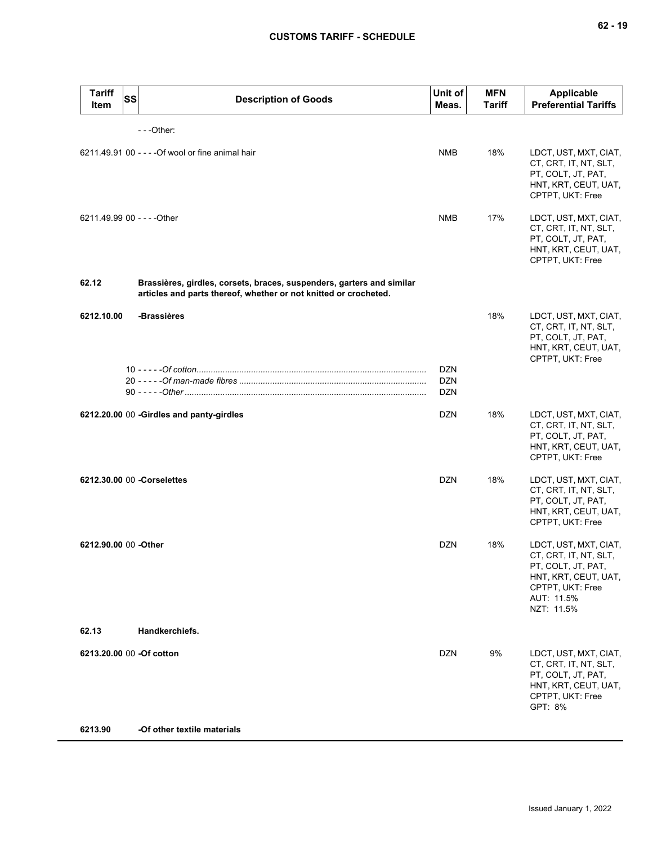| <b>Tariff</b><br><b>SS</b><br><b>Item</b> | <b>Description of Goods</b>                                                                                                               | Unit of<br>Meas.         | <b>MFN</b><br><b>Tariff</b> | <b>Applicable</b><br><b>Preferential Tariffs</b>                                                                                             |
|-------------------------------------------|-------------------------------------------------------------------------------------------------------------------------------------------|--------------------------|-----------------------------|----------------------------------------------------------------------------------------------------------------------------------------------|
|                                           | $- -$ Other:                                                                                                                              |                          |                             |                                                                                                                                              |
|                                           | 6211.49.91 00 - - - - Of wool or fine animal hair                                                                                         | <b>NMB</b>               | 18%                         | LDCT, UST, MXT, CIAT,<br>CT, CRT, IT, NT, SLT,<br>PT, COLT, JT, PAT,<br>HNT, KRT, CEUT, UAT,<br>CPTPT, UKT: Free                             |
| 6211.49.99 00 - - - - Other               |                                                                                                                                           | <b>NMB</b>               | 17%                         | LDCT, UST, MXT, CIAT,<br>CT, CRT, IT, NT, SLT,<br>PT, COLT, JT, PAT,<br>HNT, KRT, CEUT, UAT,<br>CPTPT, UKT: Free                             |
| 62.12                                     | Brassières, girdles, corsets, braces, suspenders, garters and similar<br>articles and parts thereof, whether or not knitted or crocheted. |                          |                             |                                                                                                                                              |
| 6212.10.00                                | -Brassières                                                                                                                               |                          | 18%                         | LDCT, UST, MXT, CIAT,<br>CT, CRT, IT, NT, SLT,<br>PT, COLT, JT, PAT,<br>HNT, KRT, CEUT, UAT,<br>CPTPT, UKT: Free                             |
|                                           |                                                                                                                                           | <b>DZN</b><br><b>DZN</b> |                             |                                                                                                                                              |
|                                           |                                                                                                                                           | <b>DZN</b>               |                             |                                                                                                                                              |
|                                           | 6212.20.00 00 -Girdles and panty-girdles                                                                                                  | <b>DZN</b>               | 18%                         | LDCT, UST, MXT, CIAT,<br>CT, CRT, IT, NT, SLT,<br>PT, COLT, JT, PAT,<br>HNT, KRT, CEUT, UAT,<br>CPTPT, UKT: Free                             |
|                                           | 6212.30.00 00 - Corselettes                                                                                                               | <b>DZN</b>               | 18%                         | LDCT, UST, MXT, CIAT,<br>CT, CRT, IT, NT, SLT,<br>PT, COLT, JT, PAT,<br>HNT, KRT, CEUT, UAT,<br>CPTPT, UKT: Free                             |
| 6212.90.00 00 -Other                      |                                                                                                                                           | <b>DZN</b>               | 18%                         | LDCT, UST, MXT, CIAT,<br>CT, CRT, IT, NT, SLT,<br>PT, COLT, JT, PAT,<br>HNT, KRT, CEUT, UAT,<br>CPTPT, UKT: Free<br>AUT: 11.5%<br>NZT: 11.5% |
| 62.13                                     | Handkerchiefs.                                                                                                                            |                          |                             |                                                                                                                                              |
| 6213.20.00 00 - Of cotton                 |                                                                                                                                           | <b>DZN</b>               | 9%                          | LDCT, UST, MXT, CIAT,<br>CT, CRT, IT, NT, SLT,<br>PT, COLT, JT, PAT,<br>HNT, KRT, CEUT, UAT,<br>CPTPT, UKT: Free<br>GPT: 8%                  |
| 6213.90                                   | -Of other textile materials                                                                                                               |                          |                             |                                                                                                                                              |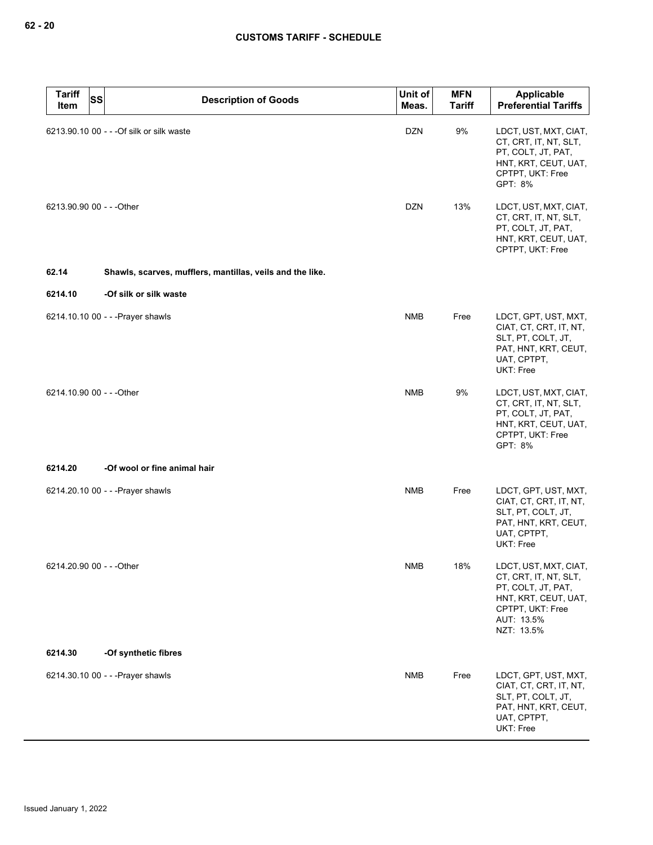| <b>Tariff</b><br><b>SS</b><br>Item | <b>Description of Goods</b>                               | Unit of<br>Meas. | <b>MFN</b><br><b>Tariff</b> | Applicable<br><b>Preferential Tariffs</b>                                                                                                    |
|------------------------------------|-----------------------------------------------------------|------------------|-----------------------------|----------------------------------------------------------------------------------------------------------------------------------------------|
|                                    | 6213.90.10 00 - - - Of silk or silk waste                 | <b>DZN</b>       | 9%                          | LDCT, UST, MXT, CIAT,<br>CT, CRT, IT, NT, SLT,<br>PT, COLT, JT, PAT,<br>HNT, KRT, CEUT, UAT,<br>CPTPT, UKT: Free<br>GPT: 8%                  |
| 6213.90.90 00 - - - Other          |                                                           | <b>DZN</b>       | 13%                         | LDCT, UST, MXT, CIAT,<br>CT, CRT, IT, NT, SLT,<br>PT, COLT, JT, PAT,<br>HNT, KRT, CEUT, UAT,<br>CPTPT, UKT: Free                             |
| 62.14                              | Shawls, scarves, mufflers, mantillas, veils and the like. |                  |                             |                                                                                                                                              |
| 6214.10                            | -Of silk or silk waste                                    |                  |                             |                                                                                                                                              |
|                                    | 6214.10.10 00 - - - Prayer shawls                         | <b>NMB</b>       | Free                        | LDCT, GPT, UST, MXT,<br>CIAT, CT, CRT, IT, NT,<br>SLT, PT, COLT, JT,<br>PAT, HNT, KRT, CEUT,<br>UAT, CPTPT,<br>UKT: Free                     |
| 6214.10.90 00 - - - Other          |                                                           | <b>NMB</b>       | 9%                          | LDCT, UST, MXT, CIAT,<br>CT, CRT, IT, NT, SLT,<br>PT, COLT, JT, PAT,<br>HNT, KRT, CEUT, UAT,<br>CPTPT, UKT: Free<br>GPT: 8%                  |
| 6214.20                            | -Of wool or fine animal hair                              |                  |                             |                                                                                                                                              |
|                                    | 6214.20.10 00 - - - Prayer shawls                         | <b>NMB</b>       | Free                        | LDCT, GPT, UST, MXT,<br>CIAT, CT, CRT, IT, NT,<br>SLT, PT, COLT, JT,<br>PAT, HNT, KRT, CEUT,<br>UAT, CPTPT,<br>UKT: Free                     |
| 6214.20.90 00 - - - Other          |                                                           | ${\sf NMB}$      | 18%                         | LDCT, UST, MXT, CIAT,<br>CT, CRT, IT, NT, SLT,<br>PT, COLT, JT, PAT,<br>HNT, KRT, CEUT, UAT,<br>CPTPT, UKT: Free<br>AUT: 13.5%<br>NZT: 13.5% |
| 6214.30                            | -Of synthetic fibres                                      |                  |                             |                                                                                                                                              |
|                                    | 6214.30.10 00 - - - Prayer shawls                         | NMB              | Free                        | LDCT, GPT, UST, MXT,<br>CIAT, CT, CRT, IT, NT,<br>SLT, PT, COLT, JT,<br>PAT, HNT, KRT, CEUT,<br>UAT, CPTPT,<br>UKT: Free                     |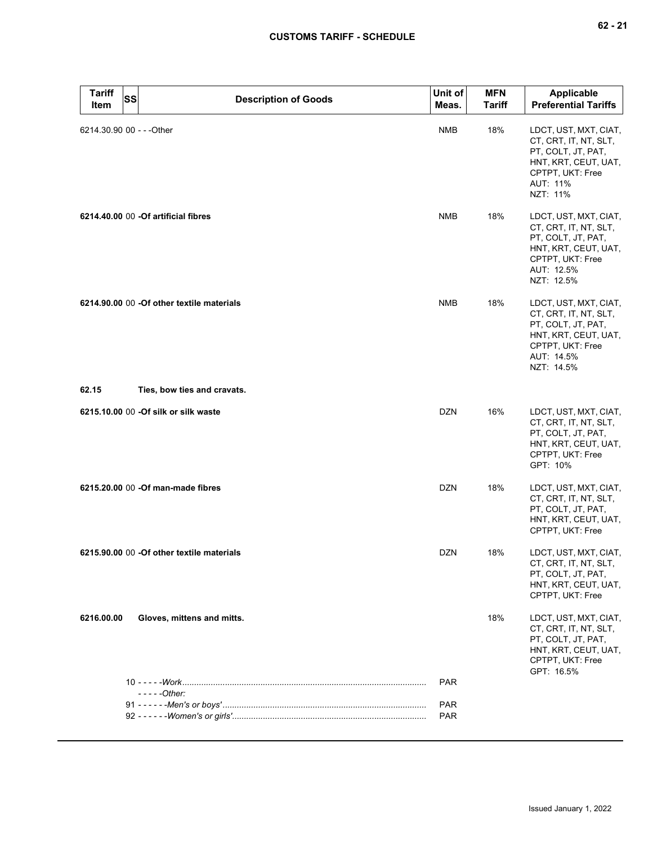| <b>Tariff</b><br><b>SS</b><br>Item | <b>Description of Goods</b>                | Unit of<br>Meas. | <b>MFN</b><br>Tariff | <b>Applicable</b><br><b>Preferential Tariffs</b>                                                                                             |
|------------------------------------|--------------------------------------------|------------------|----------------------|----------------------------------------------------------------------------------------------------------------------------------------------|
| 6214.30.90 00 - - - Other          |                                            | <b>NMB</b>       | 18%                  | LDCT, UST, MXT, CIAT,<br>CT, CRT, IT, NT, SLT,<br>PT, COLT, JT, PAT,<br>HNT, KRT, CEUT, UAT,<br>CPTPT, UKT: Free<br>AUT: 11%<br>NZT: 11%     |
|                                    | 6214.40.00 00 - Of artificial fibres       | <b>NMB</b>       | 18%                  | LDCT, UST, MXT, CIAT,<br>CT, CRT, IT, NT, SLT,<br>PT, COLT, JT, PAT,<br>HNT, KRT, CEUT, UAT,<br>CPTPT, UKT: Free<br>AUT: 12.5%<br>NZT: 12.5% |
|                                    | 6214.90.00 00 -Of other textile materials  | <b>NMB</b>       | 18%                  | LDCT, UST, MXT, CIAT,<br>CT, CRT, IT, NT, SLT,<br>PT, COLT, JT, PAT,<br>HNT, KRT, CEUT, UAT,<br>CPTPT, UKT: Free<br>AUT: 14.5%<br>NZT: 14.5% |
| 62.15                              | Ties, bow ties and cravats.                |                  |                      |                                                                                                                                              |
|                                    | 6215.10.00 00 -Of silk or silk waste       | <b>DZN</b>       | 16%                  | LDCT, UST, MXT, CIAT,<br>CT, CRT, IT, NT, SLT,<br>PT, COLT, JT, PAT,<br>HNT, KRT, CEUT, UAT,<br>CPTPT, UKT: Free<br>GPT: 10%                 |
|                                    | 6215.20.00 00 - Of man-made fibres         | <b>DZN</b>       | 18%                  | LDCT, UST, MXT, CIAT,<br>CT, CRT, IT, NT, SLT,<br>PT, COLT, JT, PAT,<br>HNT, KRT, CEUT, UAT,<br>CPTPT, UKT: Free                             |
|                                    | 6215.90.00 00 - Of other textile materials | <b>DZN</b>       | 18%                  | LDCT, UST, MXT, CIAT,<br>CT, CRT, IT, NT, SLT,<br>PT, COLT, JT, PAT,<br>HNT, KRT, CEUT, UAT,<br>CPTPT, UKT: Free                             |
| 6216.00.00                         | Gloves, mittens and mitts.                 |                  | 18%                  | LDCT, UST, MXT, CIAT,<br>CT, CRT, IT, NT, SLT,<br>PT, COLT, JT, PAT,<br>HNT, KRT, CEUT, UAT,<br>CPTPT, UKT: Free<br>GPT: 16.5%               |
|                                    | $---Other:$                                | <b>PAR</b>       |                      |                                                                                                                                              |
|                                    |                                            | <b>PAR</b>       |                      |                                                                                                                                              |
|                                    |                                            | <b>PAR</b>       |                      |                                                                                                                                              |